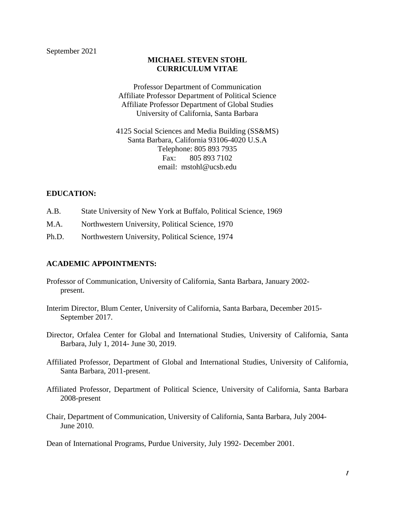# **MICHAEL STEVEN STOHL CURRICULUM VITAE**

Professor Department of Communication Affiliate Professor Department of Political Science Affiliate Professor Department of Global Studies University of California, Santa Barbara

4125 Social Sciences and Media Building (SS&MS) Santa Barbara, California 93106-4020 U.S.A Telephone: 805 893 7935 Fax: 805 893 7102 email: mstohl@ucsb.edu

# **EDUCATION:**

- A.B. State University of New York at Buffalo, Political Science, 1969
- M.A. Northwestern University, Political Science, 1970
- Ph.D. Northwestern University, Political Science, 1974

### **ACADEMIC APPOINTMENTS:**

- Professor of Communication, University of California, Santa Barbara, January 2002 present.
- Interim Director, Blum Center, University of California, Santa Barbara, December 2015- September 2017.
- Director, Orfalea Center for Global and International Studies, University of California, Santa Barbara, July 1, 2014- June 30, 2019.
- Affiliated Professor, Department of Global and International Studies, University of California, Santa Barbara, 2011-present.
- Affiliated Professor, Department of Political Science, University of California, Santa Barbara 2008-present
- Chair, Department of Communication, University of California, Santa Barbara, July 2004- June 2010.

Dean of International Programs, Purdue University, July 1992- December 2001.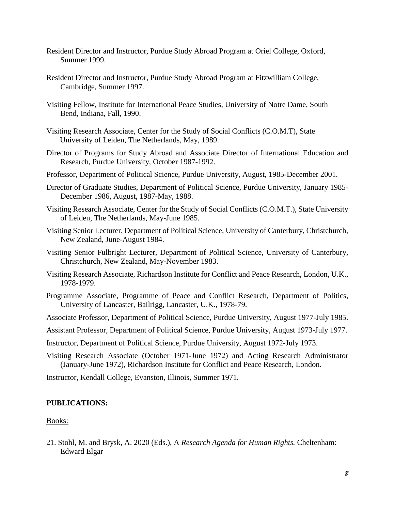- Resident Director and Instructor, Purdue Study Abroad Program at Oriel College, Oxford, Summer 1999.
- Resident Director and Instructor, Purdue Study Abroad Program at Fitzwilliam College, Cambridge, Summer 1997.
- Visiting Fellow, Institute for International Peace Studies, University of Notre Dame, South Bend, Indiana, Fall, 1990.
- Visiting Research Associate, Center for the Study of Social Conflicts (C.O.M.T), State University of Leiden, The Netherlands, May, 1989.
- Director of Programs for Study Abroad and Associate Director of International Education and Research, Purdue University, October 1987-1992.
- Professor, Department of Political Science, Purdue University, August, 1985-December 2001.
- Director of Graduate Studies, Department of Political Science, Purdue University, January 1985- December 1986, August, 1987-May, 1988.
- Visiting Research Associate, Center for the Study of Social Conflicts (C.O.M.T.), State University of Leiden, The Netherlands, May-June 1985.
- Visiting Senior Lecturer, Department of Political Science, University of Canterbury, Christchurch, New Zealand, June-August 1984.
- Visiting Senior Fulbright Lecturer, Department of Political Science, University of Canterbury, Christchurch, New Zealand, May-November 1983.
- Visiting Research Associate, Richardson Institute for Conflict and Peace Research, London, U.K., 1978-1979.
- Programme Associate, Programme of Peace and Conflict Research, Department of Politics, University of Lancaster, Bailrigg, Lancaster, U.K., 1978-79.
- Associate Professor, Department of Political Science, Purdue University, August 1977-July 1985.
- Assistant Professor, Department of Political Science, Purdue University, August 1973-July 1977.
- Instructor, Department of Political Science, Purdue University, August 1972-July 1973.
- Visiting Research Associate (October 1971-June 1972) and Acting Research Administrator (January-June 1972), Richardson Institute for Conflict and Peace Research, London.

Instructor, Kendall College, Evanston, Illinois, Summer 1971.

### **PUBLICATIONS:**

#### Books:

21. Stohl, M. and Brysk, A. 2020 (Eds.), A *Research Agenda for Human Rights.* Cheltenham: Edward Elgar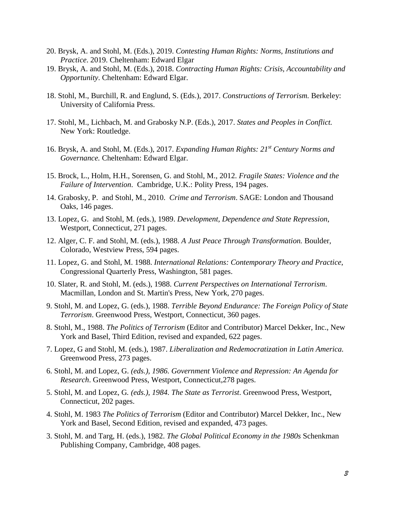- 20. Brysk, A. and Stohl, M. (Eds.), 2019. *Contesting Human Rights: Norms, Institutions and Practice*. 2019. Cheltenham: Edward Elgar
- 19. Brysk, A. and Stohl, M. (Eds.), 2018. *Contracting Human Rights: Crisis, Accountability and Opportunity*. Cheltenham: Edward Elgar.
- 18. Stohl, M., Burchill, R. and Englund, S. (Eds.), 2017. *Constructions of Terrorism.* Berkeley: University of California Press.
- 17. Stohl, M., Lichbach, M. and Grabosky N.P. (Eds.), 2017. *States and Peoples in Conflict.*  New York: Routledge.
- 16. Brysk, A. and Stohl, M. (Eds.), 2017. *Expanding Human Rights: 21st Century Norms and Governance.* Cheltenham: Edward Elgar.
- 15. Brock, L., Holm, H.H., Sorensen, G. and Stohl, M., 2012. *Fragile States: Violence and the Failure of Intervention*. Cambridge, U.K.: Polity Press, 194 pages.
- 14. Grabosky, P. and Stohl, M., 2010. *Crime and Terrorism*. SAGE: London and Thousand Oaks, 146 pages.
- 13. Lopez, G. and Stohl, M. (eds.), 1989. *Development, Dependence and State Repression*, Westport, Connecticut, 271 pages.
- 12. Alger, C. F. and Stohl, M. (eds.), 1988. *A Just Peace Through Transformation.* Boulder, Colorado, Westview Press, 594 pages.
- 11. Lopez, G. and Stohl, M. 1988. *International Relations: Contemporary Theory and Practice*, Congressional Quarterly Press, Washington, 581 pages.
- 10. Slater, R. and Stohl, M. (eds.), 1988. *Current Perspectives on International Terrorism*. Macmillan, London and St. Martin's Press, New York, 270 pages.
- 9. Stohl, M. and Lopez, G. (eds.), 1988. *Terrible Beyond Endurance: The Foreign Policy of State Terrorism*. Greenwood Press, Westport, Connecticut, 360 pages.
- 8. Stohl, M., 1988. *The Politics of Terrorism* (Editor and Contributor) Marcel Dekker, Inc., New York and Basel, Third Edition, revised and expanded, 622 pages.
- 7. Lopez, G and Stohl, M. (eds.), 1987. *Liberalization and Redemocratization in Latin America.* Greenwood Press, 273 pages.
- 6. Stohl, M. and Lopez, G. *(eds.), 1986. Government Violence and Repression: An Agenda for Research*. Greenwood Press, Westport, Connecticut,278 pages.
- 5. Stohl, M. and Lopez, G*. (eds.), 1984. The State as Terrorist*. Greenwood Press, Westport, Connecticut, 202 pages.
- 4. Stohl, M. 1983 *The Politics of Terrorism* (Editor and Contributor) Marcel Dekker, Inc., New York and Basel, Second Edition, revised and expanded, 473 pages.
- 3. Stohl, M. and Targ, H. (eds.), 1982. *The Global Political Economy in the 1980s* Schenkman Publishing Company, Cambridge, 408 pages.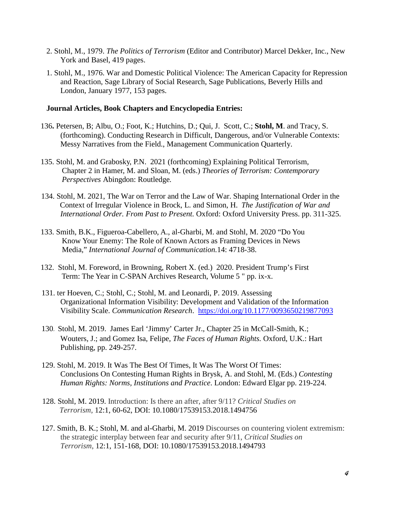- 2. Stohl, M., 1979. *The Politics of Terrorism* (Editor and Contributor) Marcel Dekker, Inc., New York and Basel, 419 pages.
- 1. Stohl, M., 1976. War and Domestic Political Violence: The American Capacity for Repression and Reaction, Sage Library of Social Research, Sage Publications, Beverly Hills and London, January 1977, 153 pages.

#### **Journal Articles, Book Chapters and Encyclopedia Entries:**

- 136**.** Petersen, B; Albu, O.; Foot, K.; Hutchins, D.; Qui, J. Scott, C.; **Stohl, M**. and Tracy, S. (forthcoming). Conducting Research in Difficult, Dangerous, and/or Vulnerable Contexts: Messy Narratives from the Field., Management Communication Quarterly.
- 135. Stohl, M. and Grabosky, P.N. 2021 (forthcoming) Explaining Political Terrorism, Chapter 2 in Hamer, M. and Sloan, M. (eds.) *Theories of Terrorism: Contemporary Perspectives* Abingdon: Routledge*.*
- 134. Stohl, M. 2021, The War on Terror and the Law of War. Shaping International Order in the Context of Irregular Violence in Brock, L. and Simon, H. *The Justification of War and International Order. From Past to Present.* Oxford: Oxford University Press. pp. 311-325.
- 133. Smith, B.K., Figueroa-Cabellero, A., al-Gharbi, M. and Stohl, M. 2020 "Do You Know Your Enemy: The Role of Known Actors as Framing Devices in News Media," *International Journal of Communication.*14: 4718-38.
- 132. Stohl, M. Foreword, in Browning, Robert X. (ed.) 2020. President Trump's First Term: The Year in C-SPAN Archives Research, Volume 5 " pp. ix-x.
- 131. ter Hoeven, C.; Stohl, C.; Stohl, M. and Leonardi, P. 2019. Assessing Organizational Information Visibility: Development and Validation of the Information Visibility Scale. *Communication Research*. [https://doi.org/10.1177/0093650219877093](https://doi.org/10.1177%2F0093650219877093)
- 130*.* Stohl, M. 2019. James Earl 'Jimmy' Carter Jr., Chapter 25 in [McCall-Smith,](https://www.bloomsburyprofessional.com/uk/author/kasey-mccall-smith) K.; [Wouters,](https://www.bloomsburyprofessional.com/uk/author/jan-wouters) J.; and [Gomez](https://www.bloomsburyprofessional.com/uk/author/felipe-gomez-isa) Isa, Felipe, *The Faces of Human Rights.* Oxford, U.K.: Hart Publishing, pp. 249-257.
- 129. Stohl, M. 2019. It Was The Best Of Times, It Was The Worst Of Times: Conclusions On Contesting Human Rights in Brysk, A. and Stohl, M. (Eds.) *Contesting Human Rights: Norms, Institutions and Practice*. London: Edward Elgar pp. 219-224.
- 128. Stohl, M. 2019. Introduction: Is there an after, after 9/11? *Critical Studies on Terrorism*, 12:1, 60-62, DOI: 10.1080/17539153.2018.1494756
- 127. Smith, B. K.; Stohl, M. and al-Gharbi, M. 2019 Discourses on countering violent extremism: the strategic interplay between fear and security after 9/11, *Critical Studies on Terrorism*, 12:1, 151-168, DOI: 10.1080/17539153.2018.1494793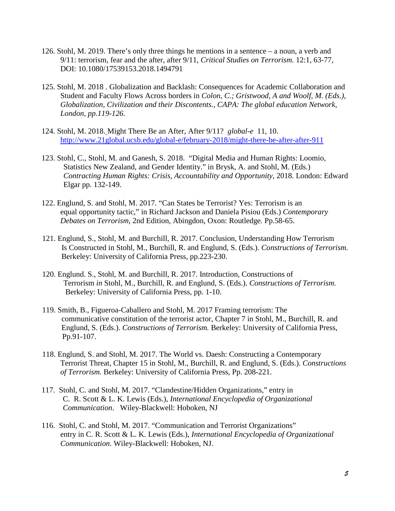- 126. Stohl, M. 2019. There's only three things he mentions in a sentence a noun, a verb and 9/11: terrorism, fear and the after, after 9/11, *Critical Studies on Terrorism.* 12:1, 63-77, DOI: 10.1080/17539153.2018.1494791
- 125. Stohl, M. 2018 . Globalization and Backlash: Consequences for Academic Collaboration and Student and Faculty Flows Across borders in *Colon, C.; Gristwood, A and Woolf, M. (Eds.), Globalization, Civilization and their Discontents., CAPA: The global education Network, London, pp.119-126.*
- 124. Stohl, M. 2018. Might There Be an After, After 9/11? *global-e* 11, 10. <http://www.21global.ucsb.edu/global-e/february-2018/might-there-be-after-after-911>
- 123. Stohl, C., Stohl, M. and Ganesh, S. 2018. "Digital Media and Human Rights: Loomio, Statistics New Zealand, and Gender Identity." in Brysk, A. and Stohl, M. (Eds.) *Contracting Human Rights: Crisis, Accountability and Opportunity*, 2018. London: Edward Elgar pp. 132-149.
- 122. Englund, S. and Stohl, M. 2017. "Can States be Terrorist? Yes: Terrorism is an equal opportunity tactic," in Richard Jackson and Daniela Pisiou (Eds.) *Contemporary Debates on Terrorism*, 2nd Edition, Abingdon, Oxon: Routledge*.* Pp.58-65.
- 121. Englund, S., Stohl, M. and Burchill, R. 2017. Conclusion, Understanding How Terrorism Is Constructed in Stohl, M., Burchill, R. and Englund, S. (Eds.). *Constructions of Terrorism.* Berkeley: University of California Press, pp.223-230.
- 120. Englund. S., Stohl, M. and Burchill, R. 2017. Introduction, Constructions of Terrorism *in* Stohl, M., Burchill, R. and Englund, S. (Eds.). *Constructions of Terrorism.* Berkeley: University of California Press, pp. 1-10.
- 119. Smith, B., Figueroa-Caballero and Stohl, M. 2017 Framing terrorism: The communicative constitution of the terrorist actor, Chapter 7 in Stohl, M., Burchill, R. and Englund, S. (Eds.). *Constructions of Terrorism.* Berkeley: University of California Press, Pp.91-107.
- 118. Englund, S. and Stohl, M. 2017. The World vs. Daesh: Constructing a Contemporary Terrorist Threat, Chapter 15 in Stohl, M., Burchill, R. and Englund, S. (Eds.). *Constructions of Terrorism.* Berkeley: University of California Press, Pp. 208-221.
- 117. Stohl, C. and Stohl, M. 2017. "Clandestine/Hidden Organizations," entry in C. R. Scott & L. K. Lewis (Eds.), *International Encyclopedia of Organizational Communication*. Wiley-Blackwell: Hoboken, NJ
- 116. Stohl, C. and Stohl, M. 2017. "Communication and Terrorist Organizations" entry in C. R. Scott & L. K. Lewis (Eds.), *International Encyclopedia of Organizational Communication.* Wiley-Blackwell: Hoboken, NJ.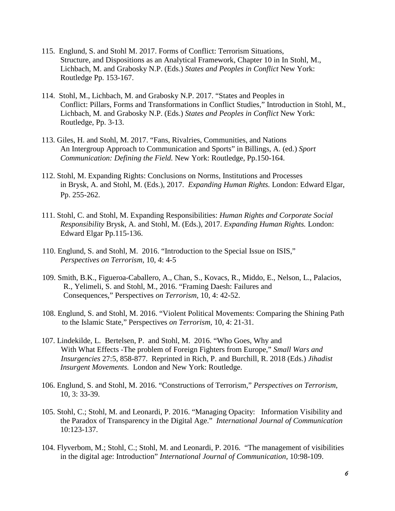- 115. Englund, S. and Stohl M. 2017. Forms of Conflict: Terrorism Situations, Structure, and Dispositions as an Analytical Framework, Chapter 10 in In Stohl, M., Lichbach, M. and Grabosky N.P. (Eds.) *States and Peoples in Conflict* New York: Routledge Pp. 153-167.
- 114. Stohl, M., Lichbach, M. and Grabosky N.P. 2017. "States and Peoples in Conflict: Pillars, Forms and Transformations in Conflict Studies," Introduction in Stohl, M., Lichbach, M. and Grabosky N.P. (Eds.) *States and Peoples in Conflict* New York: Routledge, Pp. 3-13.
- 113. Giles, H. and Stohl, M. 2017. "Fans, Rivalries, Communities, and Nations An Intergroup Approach to Communication and Sports" in Billings, A. (ed.) *Sport Communication: Defining the Field.* New York: Routledge, Pp.150-164.
- 112. Stohl, M. Expanding Rights: Conclusions on Norms, Institutions and Processes in Brysk, A. and Stohl, M. (Eds.), 2017. *Expanding Human Rights.* London: Edward Elgar, Pp. 255-262.
- 111. Stohl, C. and Stohl, M. Expanding Responsibilities: *Human Rights and Corporate Social Responsibility* Brysk, A. and Stohl, M. (Eds.), 2017. *Expanding Human Rights.* London: Edward Elgar Pp.115-136.
- 110. Englund, S. and Stohl, M. 2016. "Introduction to the Special Issue on ISIS," *Perspectives on Terrorism,* 10, 4: 4-5
- 109. Smith, B.K., Figueroa-Caballero, A., Chan, S., Kovacs, R., Middo, E., Nelson, L., Palacios, R., Yelimeli, S. and Stohl, M., 2016. "Framing Daesh: Failures and Consequences," Perspectives *on Terrorism,* 10, 4: 42-52.
- 108. Englund, S. and Stohl, M. 2016. "Violent Political Movements: Comparing the Shining Path to the Islamic State," Perspectives *on Terrorism,* 10, 4: 21-31.
- 107. Lindekilde, L. Bertelsen, P. and Stohl, M. 2016. "Who Goes, Why and With What Effects -The problem of Foreign Fighters from Europe," *Small Wars and Insurgencies* 27:5, 858-877. Reprinted in Rich, P. and Burchill, R. 2018 (Eds.) *Jihadist Insurgent Movements.* London and New York: Routledge.
- 106. Englund, S. and Stohl, M. 2016. "Constructions of Terrorism," *Perspectives on Terrorism*, 10, 3: 33-39.
- 105. Stohl, C.; Stohl, M. and Leonardi, P. 2016. "Managing Opacity: Information Visibility and the Paradox of Transparency in the Digital Age." *International Journal of Communication* 10:123-137.
- 104. Flyverbom, M.; Stohl, C.; Stohl, M. and Leonardi, P. 2016. "The management of visibilities in the digital age: Introduction" *International Journal of Communication,* 10:98-109.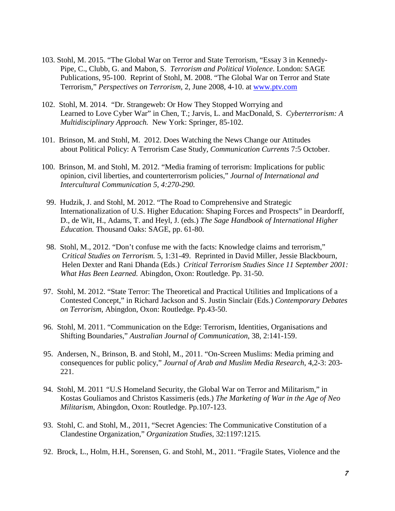- 103. Stohl, M. 2015. "The Global War on Terror and State Terrorism, "Essay 3 in Kennedy-Pipe, C., Clubb, G. and Mabon, S. *Terrorism and Political Violence*. London: SAGE Publications, 95-100. Reprint of Stohl, M. 2008. "The Global War on Terror and State Terrorism," *Perspectives on Terrorism*, 2, June 2008, 4-10. at [www.ptv.com](http://www.ptv.com/)
- 102. Stohl, M. 2014. "Dr. Strangeweb: Or How They Stopped Worrying and Learned to Love Cyber War" in Chen, T.; Jarvis, L. and MacDonald, S. *Cyberterrorism: A Multidisciplinary Approach.* New York: Springer, 85-102.
- 101. Brinson, M. and Stohl, M. 2012. Does Watching the News Change our Attitudes about Political Policy: A Terrorism Case Study, *Communication Currents* 7:5 October.
- 100. Brinson, M. and Stohl, M. 2012. "Media framing of terrorism: Implications for public opinion, civil liberties, and counterterrorism policies," *Journal of International and Intercultural Communication 5, 4:270-290.*
- 99. Hudzik, J. and Stohl, M. 2012. "The Road to Comprehensive and Strategic Internationalization of U.S. Higher Education: Shaping Forces and Prospects" in Deardorff, D., de Wit, H., Adams, T. and Heyl, J. (eds.) *The Sage Handbook of International Higher Education.* Thousand Oaks: SAGE, pp. 61-80.
- 98. Stohl, M., 2012. "Don't confuse me with the facts: Knowledge claims and terrorism," C*ritical Studies on Terrorism.* 5, 1:31-49. Reprinted in David Miller, Jessie Blackbourn, Helen Dexter and Rani Dhanda (Eds.) *Critical Terrorism Studies Since 11 September 2001: What Has Been Learned.* Abingdon, Oxon: Routledge. Pp. 31-50.
- 97. Stohl, M. 2012. "State Terror: The Theoretical and Practical Utilities and Implications of a Contested Concept," in Richard Jackson and S. Justin Sinclair (Eds.) *Contemporary Debates on Terrorism*, Abingdon, Oxon: Routledge*.* Pp.43-50.
- 96. Stohl, M. 2011. "Communication on the Edge: Terrorism, Identities, Organisations and Shifting Boundaries," *Australian Journal of Communication*, 38, 2:141-159.
- 95. Andersen, N., Brinson, B. and Stohl, M., 2011. "On-Screen Muslims: Media priming and consequences for public policy," *Journal of Arab and Muslim Media Research*, 4,2-3: 203- 221.
- 94. Stohl, M. 2011 *"*U.S Homeland Security, the Global War on Terror and Militarism," in Kostas Gouliamos and Christos Kassimeris (eds.) *The Marketing of War in the Age of Neo Militarism*, Abingdon, Oxon: Routledge. Pp.107-123.
- 93. Stohl, C. and Stohl, M., 2011, "Secret Agencies: The Communicative Constitution of a Clandestine Organization," *Organization Studies,* 32:1197:1215*.*
- 92. Brock, L., Holm, H.H., Sorensen, G. and Stohl, M., 2011. "Fragile States, Violence and the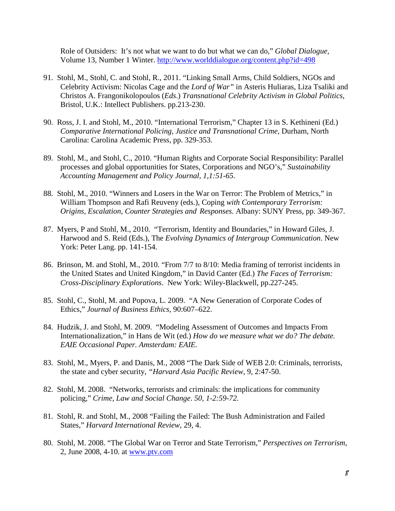Role of Outsiders: It's not what we want to do but what we can do," *Global Dialogue,*  Volume 13, Number 1 Winter.<http://www.worlddialogue.org/content.php?id=498>

- 91. Stohl, M., Stohl, C. and Stohl, R., 2011. "Linking Small Arms, Child Soldiers, NGOs and Celebrity Activism: Nicolas Cage and the *Lord of War"* in Asteris Huliaras, Liza Tsaliki and Christos A. Frangonikolopoulos (*Eds*.) *Transnational Celebrity Activism in Global Politics*, Bristol, U.K.: Intellect Publishers. pp.213-230.
- 90. Ross, J. I. and Stohl, M., 2010. "International Terrorism," Chapter 13 in S. Kethineni (Ed.) *Comparative International Policing, Justice and Transnational Crime*, Durham, North Carolina: Carolina Academic Press, pp. 329-353.
- 89. Stohl, M., and Stohl, C., 2010. "Human Rights and Corporate Social Responsibility: Parallel processes and global opportunities for States, Corporations and NGO's," *Sustainability Accounting Management and Policy Journal, 1,1:51-65*.
- 88. Stohl, M., 2010. "Winners and Losers in the War on Terror: The Problem of Metrics," in William Thompson and Rafi Reuveny (eds.), Coping *with Contemporary Terrorism: Origins, Escalation, Counter Strategies and Responses*. Albany: SUNY Press, pp. 349-367.
- 87. Myers, P and Stohl, M., 2010. "Terrorism, Identity and Boundaries," in Howard Giles, J. Harwood and S. Reid (Eds.), The *Evolving Dynamics of Intergroup Communication*. New York: Peter Lang. pp. 141-154.
- 86. Brinson, M. and Stohl, M., 2010. "From 7/7 to 8/10: Media framing of terrorist incidents in the United States and United Kingdom," in David Canter (Ed.) *The Faces of Terrorism: Cross-Disciplinary Explorations*. New York: Wiley-Blackwell, pp.227-245.
- 85. Stohl, C., Stohl, M. and Popova, L. 2009. "A New Generation of Corporate Codes of Ethics," *Journal of Business Ethics,* 90:607–622.
- 84. Hudzik, J. and Stohl, M. 2009. "Modeling Assessment of Outcomes and Impacts From Internationalization," in Hans de Wit (ed.) *How do we measure what we do? The debate. EAIE Occasional Paper. Amsterdam: EAIE.*
- 83. Stohl, M., Myers, P. and Danis, M., 2008 "The Dark Side of WEB 2.0: Criminals, terrorists, the state and cyber security, *"Harvard Asia Pacific Review*, 9, 2:47-50.
- 82. Stohl, M. 2008. "Networks, terrorists and criminals: the implications for community policing," *Crime, Law and Social Change*. *50, 1-2:59-72.*
- 81. Stohl, R. and Stohl, M., 2008 "Failing the Failed: The Bush Administration and Failed States," *Harvard International Review*, 29, 4.
- 80. Stohl, M. 2008. "The Global War on Terror and State Terrorism," *Perspectives on Terrorism*, 2, June 2008, 4-10. at [www.ptv.com](http://www.ptv.com/)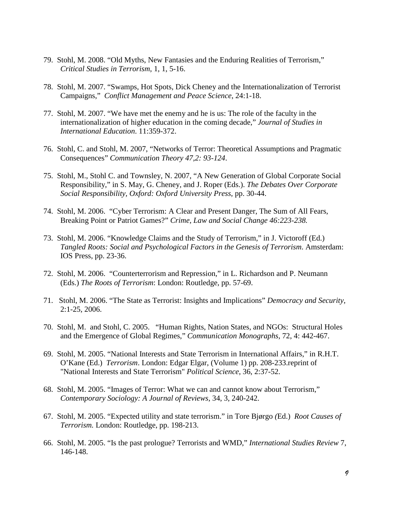- 79. Stohl, M. 2008. "Old Myths, New Fantasies and the Enduring Realities of Terrorism," *Critical Studies in Terrorism*, 1, 1, 5-16.
- 78. Stohl, M. 2007. "Swamps, Hot Spots, Dick Cheney and the Internationalization of Terrorist Campaigns," *Conflict Management and Peace Science*, 24:1-18.
- 77. Stohl, M. 2007. "We have met the enemy and he is us: The role of the faculty in the internationalization of higher education in the coming decade," *Journal of Studies in International Education*. 11:359-372.
- 76. Stohl, C. and Stohl, M. 2007, "Networks of Terror: Theoretical Assumptions and Pragmatic Consequences" *Communication Theory 47,2: 93-124*.
- 75. Stohl, M., Stohl C. and Townsley, N. 2007, "A New Generation of Global Corporate Social Responsibility," in S. May, G. Cheney, and J. Roper (Eds.). *The Debates Over Corporate Social Responsibility, Oxford: Oxford University Press*, pp. 30-44.
- 74. Stohl, M. 2006. "Cyber Terrorism: A Clear and Present Danger, The Sum of All Fears, Breaking Point or Patriot Games?" *Crime, Law and Social Change 46:223-238.*
- 73. Stohl, M. 2006. "Knowledge Claims and the Study of Terrorism," in J. Victoroff (Ed.) *Tangled Roots: Social and Psychological Factors in the Genesis of Terrorism*. Amsterdam: IOS Press, pp. 23-36.
- 72. Stohl, M. 2006. "Counterterrorism and Repression," in L. Richardson and P. Neumann (Eds.) *The Roots of Terrorism*: London: Routledge, pp. 57-69.
- 71. Stohl, M. 2006. "The State as Terrorist: Insights and Implications" *Democracy and Security*, 2:1-25, 2006.
- 70. Stohl, M. and Stohl, C. 2005. "Human Rights, Nation States, and NGOs: Structural Holes and the Emergence of Global Regimes," *Communication Monographs*, 72, 4: 442-467.
- 69. Stohl, M. 2005. "National Interests and State Terrorism in International Affairs," in R.H.T. O'Kane (Ed.) *Terrorism*. London: Edgar Elgar, (Volume 1) pp. 208-233.reprint of "National Interests and State Terrorism" *Political Science*, 36, 2:37-52.
- 68. Stohl, M. 2005. "Images of Terror: What we can and cannot know about Terrorism," *[Contemporary Sociology: A Journal of Reviews,](http://www.ingentaconnect.com/content/asoca/cs)* 34, 3, 240-242.
- 67. Stohl, M. 2005. "Expected utility and state terrorism." in Tore Bjørgo *(*Ed.) *Root Causes of Terrorism.* London: Routledge, pp. 198-213.
- 66. Stohl, M. 2005. "Is the past prologue? Terrorists and WMD," *International Studies Review* 7, 146-148.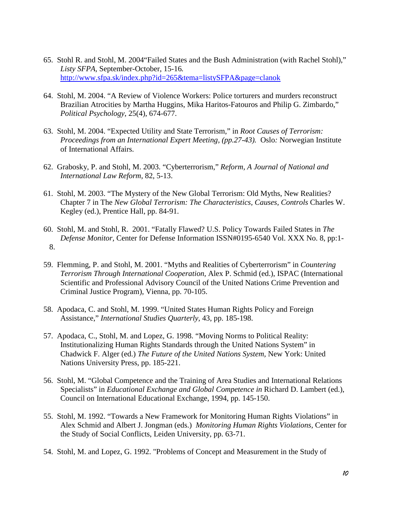- 65. Stohl R. and Stohl, M. 2004"Failed States and the Bush Administration (with Rachel Stohl)," *Listy SFPA,* September-October, 15-16*.* <http://www.sfpa.sk/index.php?id=265&tema=listySFPA&page=clanok>
- 64. Stohl, M. 2004. "A Review of Violence Workers: Police torturers and murders reconstruct Brazilian Atrocities by Martha Huggins, Mika Haritos-Fatouros and Philip G. Zimbardo," *Political Psychology*, 25(4), 674-677.
- 63. Stohl, M. 2004. "Expected Utility and State Terrorism," in *Root Causes of Terrorism: Proceedings from an International Expert Meeting, (pp.27-43).* Oslo*:* Norwegian Institute of International Affairs.
- 62. Grabosky, P. and Stohl, M. 2003. "Cyberterrorism," *Reform, A Journal of National and International Law Reform*, 82, 5-13.
- 61. Stohl, M. 2003. "The Mystery of the New Global Terrorism: Old Myths, New Realities? Chapter 7 in The *New Global Terrorism: The Characteristics, Causes, Controls* Charles W. Kegley (ed.), Prentice Hall, pp. 84-91.
- 60. Stohl, M. and Stohl, R. 2001. "Fatally Flawed? U.S. Policy Towards Failed States in *The Defense Monitor,* Center for Defense Information ISSN#0195-6540 Vol. XXX No. 8, pp:1- 8.
- 59. Flemming, P. and Stohl, M. 2001. "Myths and Realities of Cyberterrorism" in *Countering Terrorism Through International Cooperation,* Alex P. Schmid (ed.), ISPAC (International Scientific and Professional Advisory Council of the United Nations Crime Prevention and Criminal Justice Program), Vienna, pp. 70-105.
- 58. Apodaca, C. and Stohl, M. 1999. "United States Human Rights Policy and Foreign Assistance," *International Studies Quarterly,* 43, pp. 185-198.
- 57. Apodaca, C., Stohl, M. and Lopez, G. 1998. "Moving Norms to Political Reality: Institutionalizing Human Rights Standards through the United Nations System" in Chadwick F. Alger (ed.) *The Future of the United Nations System,* New York: United Nations University Press, pp. 185-221.
- 56. Stohl, M. "Global Competence and the Training of Area Studies and International Relations Specialists" in *Educational Exchange and Global Competence in* Richard D. Lambert (ed.), Council on International Educational Exchange, 1994, pp. 145-150.
- 55. Stohl, M. 1992. "Towards a New Framework for Monitoring Human Rights Violations" in Alex Schmid and Albert J. Jongman (eds.) *Monitoring Human Rights Violations,* Center for the Study of Social Conflicts, Leiden University, pp. 63-71.
- 54. Stohl, M. and Lopez, G. 1992. "Problems of Concept and Measurement in the Study of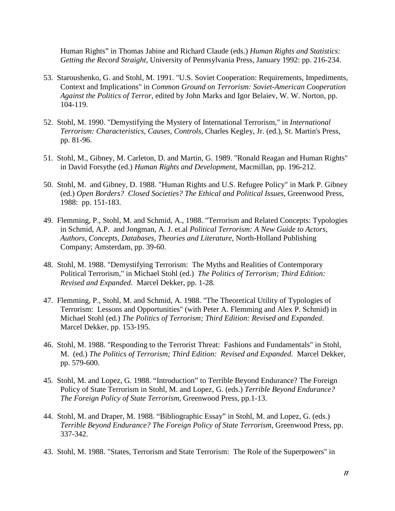Human Rights" in Thomas Jabine and Richard Claude (eds.) *Human Rights and Statistics: Getting the Record Straight*, University of Pennsylvania Press, January 1992: pp. 216-234.

- 53. Staroushenko, G. and Stohl, M. 1991. "U.S. Soviet Cooperation: Requirements, Impediments, Context and Implications" in *Common Ground on Terrorism: Soviet-American Cooperation Against the Politics of Terror*, edited by John Marks and Igor Belaiev, W. W. Norton, pp. 104-119.
- 52. Stohl, M. 1990. "Demystifying the Mystery of International Terrorism," in *International Terrorism: Characteristics, Causes, Controls*, Charles Kegley, Jr. (ed.), St. Martin's Press, pp. 81-96.
- 51. Stohl, M., Gibney, M. Carleton, D. and Martin, G. 1989. "Ronald Reagan and Human Rights" in David Forsythe (ed.) *Human Rights and Development*, Macmillan, pp. 196-212.
- 50. Stohl, M. and Gibney, D. 1988. "Human Rights and U.S. Refugee Policy" in Mark P. Gibney (ed.) *Open Borders? Closed Societies? The Ethical and Political Issues*, Greenwood Press, 1988: pp. 151-183.
- 49. Flemming, P., Stohl, M. and Schmid, A., 1988. "Terrorism and Related Concepts: Typologies in Schmid, A.P. and Jongman, A. J. et.al *Political Terrorism: A New Guide to Actors, Authors, Concepts, Databases, Theories and Literature*, North-Holland Publishing Company; Amsterdam, pp. 39-60.
- 48. Stohl, M. 1988. "Demystifying Terrorism: The Myths and Realities of Contemporary Political Terrorism," in Michael Stohl (ed.) *The Politics of Terrorism; Third Edition: Revised and Expanded*. Marcel Dekker, pp. 1-28.
- 47. Flemming, P., Stohl, M. and Schmid, A. 1988. "The Theoretical Utility of Typologies of Terrorism: Lessons and Opportunities" (with Peter A. Flemming and Alex P. Schmid) in Michael Stohl (ed.) *The Politics of Terrorism; Third Edition: Revised and Expanded*. Marcel Dekker, pp. 153-195.
- 46. Stohl, M. 1988. "Responding to the Terrorist Threat: Fashions and Fundamentals" in Stohl, M. (ed.) *The Politics of Terrorism; Third Edition: Revised and Expanded*. Marcel Dekker, pp. 579-600.
- 45. Stohl, M. and Lopez, G. 1988. "Introduction" to Terrible Beyond Endurance? The Foreign Policy of State Terrorism in Stohl, M. and Lopez, G. (eds.) *Terrible Beyond Endurance? The Foreign Policy of State Terrorism,* Greenwood Press, pp.1-13.
- 44. Stohl, M. and Draper, M. 1988. "Bibliographic Essay" in Stohl, M. and Lopez, G. (eds.) *Terrible Beyond Endurance? The Foreign Policy of State Terrorism, Greenwood Press, pp.* 337-342.
- 43. Stohl, M. 1988. "States, Terrorism and State Terrorism: The Role of the Superpowers" in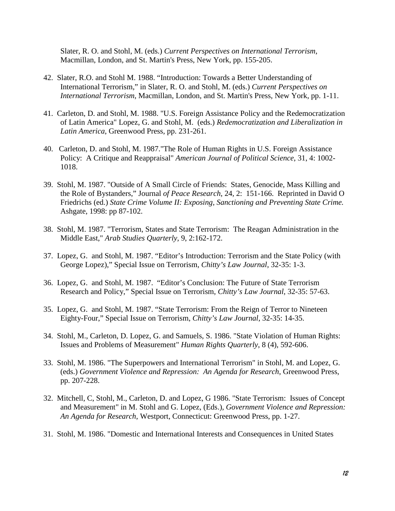Slater, R. O. and Stohl, M. (eds.) *Current Perspectives on International Terrorism*, Macmillan, London, and St. Martin's Press, New York, pp. 155-205.

- 42. Slater, R.O. and Stohl M. 1988. "Introduction: Towards a Better Understanding of International Terrorism," in Slater, R. O. and Stohl, M. (eds.) *Current Perspectives on International Terrorism*, Macmillan, London, and St. Martin's Press, New York, pp. 1-11.
- 41. Carleton, D. and Stohl, M. 1988. "U.S. Foreign Assistance Policy and the Redemocratization of Latin America" Lopez, G. and Stohl, M. (eds.) *Redemocratization and Liberalization in Latin America*, Greenwood Press, pp. 231-261.
- 40. Carleton, D. and Stohl, M. 1987."The Role of Human Rights in U.S. Foreign Assistance Policy: A Critique and Reappraisal" *American Journal of Political Science*, 31, 4: 1002- 1018.
- 39. Stohl, M. 1987. "Outside of A Small Circle of Friends: States, Genocide, Mass Killing and the Role of Bystanders," Journal *of Peace Research*, 24, 2: 151-166. Reprinted in David O Friedrichs (ed.) *State Crime Volume II: Exposing, Sanctioning and Preventing State Crime.*  Ashgate, 1998: pp 87-102.
- 38. Stohl, M. 1987. "Terrorism, States and State Terrorism: The Reagan Administration in the Middle East," *Arab Studies Quarterly,* 9, 2:162-172.
- 37. Lopez, G. and Stohl, M. 1987. "Editor's Introduction: Terrorism and the State Policy (with George Lopez)," Special Issue on Terrorism, *Chitty's Law Journal*, 32-35: 1-3.
- 36. Lopez, G. and Stohl, M. 1987. "Editor's Conclusion: The Future of State Terrorism Research and Policy," Special Issue on Terrorism, *Chitty's Law Journal*, 32-35: 57-63.
- 35. Lopez, G. and Stohl, M. 1987. "State Terrorism: From the Reign of Terror to Nineteen Eighty-Four," Special Issue on Terrorism, *Chitty's Law Journal*, 32-35: 14-35.
- 34. Stohl, M., Carleton, D. Lopez, G. and Samuels, S. 1986. "State Violation of Human Rights: Issues and Problems of Measurement" *Human Rights Quarterly*, 8 (4), 592-606.
- 33. Stohl, M. 1986. "The Superpowers and International Terrorism" in Stohl, M. and Lopez, G. (eds.) *Government Violence and Repression: An Agenda for Research*, Greenwood Press, pp. 207-228.
- 32. Mitchell, C, Stohl, M., Carleton, D. and Lopez, G 1986. "State Terrorism: Issues of Concept and Measurement" in M. Stohl and G. Lopez, (Eds.), *Government Violence and Repression: An Agenda for Research*, Westport, Connecticut: Greenwood Press, pp. 1-27.
- 31. Stohl, M. 1986. "Domestic and International Interests and Consequences in United States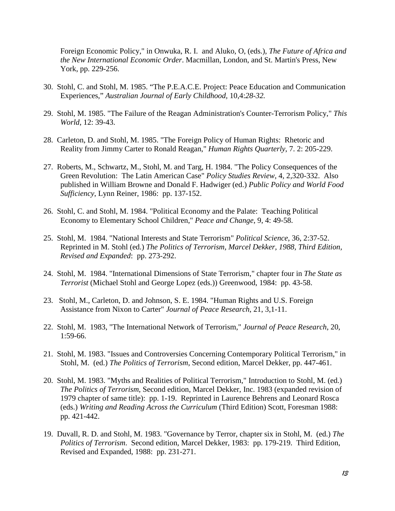Foreign Economic Policy," in Onwuka, R. I. and Aluko, O, (eds.), *The Future of Africa and the New International Economic Order*. Macmillan, London, and St. Martin's Press, New York, pp. 229-256.

- 30. Stohl, C. and Stohl, M. 1985. "The P.E.A.C.E. Project: Peace Education and Communication Experiences," *Australian Journal of Early Childhood,* 10,4:*28-32.*
- 29. Stohl, M. 1985. "The Failure of the Reagan Administration's Counter-Terrorism Policy," *This World*, 12: 39-43.
- 28. Carleton, D. and Stohl, M. 1985. "The Foreign Policy of Human Rights: Rhetoric and Reality from Jimmy Carter to Ronald Reagan," *Human Rights Quarterly*, 7. 2: 205-229.
- 27. Roberts, M., Schwartz, M., Stohl, M. and Targ, H. 1984. "The Policy Consequences of the Green Revolution: The Latin American Case" *Policy Studies Review*, 4, 2,320-332. Also published in William Browne and Donald F. Hadwiger (ed.) *Public Policy and World Food Sufficiency*, Lynn Reiner, 1986: pp. 137-152.
- 26. Stohl, C. and Stohl, M. 1984. "Political Economy and the Palate: Teaching Political Economy to Elementary School Children," *Peace and Change*, 9, 4: 49-58.
- 25. Stohl, M. 1984. "National Interests and State Terrorism" *Political Science*, 36, 2:37-52. Reprinted in M. Stohl (ed.) *The Politics of Terrorism, Marcel Dekker, 1988, Third Edition, Revised and Expanded*: pp. 273-292.
- 24. Stohl, M. 1984. "International Dimensions of State Terrorism," chapter four in *The State as Terrorist* (Michael Stohl and George Lopez (eds.)) Greenwood, 1984: pp. 43-58.
- 23. Stohl, M., Carleton, D. and Johnson, S. E. 1984. "Human Rights and U.S. Foreign Assistance from Nixon to Carter" *Journal of Peace Research*, 21, 3,1-11.
- 22. Stohl, M. 1983, "The International Network of Terrorism," *Journal of Peace Research*, 20, 1:59-66.
- 21. Stohl, M. 1983. "Issues and Controversies Concerning Contemporary Political Terrorism," in Stohl, M. (ed.) *The Politics of Terrorism*, Second edition, Marcel Dekker, pp. 447-461.
- 20. Stohl, M. 1983. "Myths and Realities of Political Terrorism," Introduction to Stohl, M. (ed.) *The Politics of Terrorism*, Second edition, Marcel Dekker, Inc. 1983 (expanded revision of 1979 chapter of same title): pp. 1-19. Reprinted in Laurence Behrens and Leonard Rosca (eds.) *Writing and Reading Across the Curriculum* (Third Edition) Scott, Foresman 1988: pp. 421-442.
- 19. Duvall, R. D. and Stohl, M. 1983. "Governance by Terror, chapter six in Stohl, M. (ed.) *The Politics of Terrorism*. Second edition, Marcel Dekker, 1983: pp. 179-219. Third Edition, Revised and Expanded, 1988: pp. 231-271.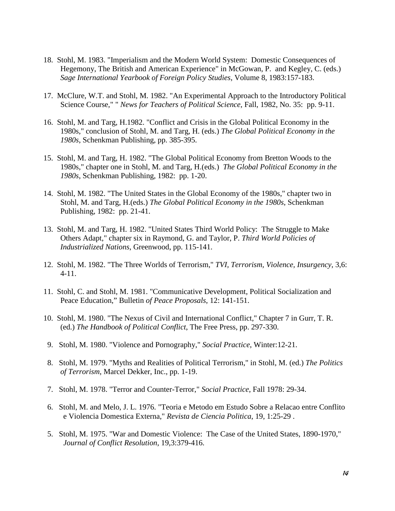- 18. Stohl, M. 1983. "Imperialism and the Modern World System: Domestic Consequences of Hegemony, The British and American Experience" in McGowan, P. and Kegley, C. (eds.) *Sage International Yearbook of Foreign Policy Studies*, Volume 8, 1983:157-183.
- 17. McClure, W.T. and Stohl, M. 1982. "An Experimental Approach to the Introductory Political Science Course," " *News for Teachers of Political Science*, Fall, 1982, No. 35: pp. 9-11.
- 16. Stohl, M. and Targ, H.1982. "Conflict and Crisis in the Global Political Economy in the 1980s," conclusion of Stohl, M. and Targ, H. (eds.) *The Global Political Economy in the 1980s*, Schenkman Publishing, pp. 385-395.
- 15. Stohl, M. and Targ, H. 1982. "The Global Political Economy from Bretton Woods to the 1980s," chapter one in Stohl, M. and Targ, H.(eds.) *The Global Political Economy in the 1980s*, Schenkman Publishing, 1982: pp. 1-20.
- 14. Stohl, M. 1982. "The United States in the Global Economy of the 1980s," chapter two in Stohl, M. and Targ, H.(eds.) *The Global Political Economy in the 1980s*, Schenkman Publishing, 1982: pp. 21-41.
- 13. Stohl, M. and Targ, H. 1982. "United States Third World Policy: The Struggle to Make Others Adapt," chapter six in Raymond, G. and Taylor, P. *Third World Policies of Industrialized Nations*, Greenwood, pp. 115-141.
- 12. Stohl, M. 1982. "The Three Worlds of Terrorism," *TVI, Terrorism, Violence, Insurgency*, 3,6: 4-11.
- 11. Stohl, C. and Stohl, M. 1981. "Communicative Development, Political Socialization and Peace Education," Bulletin *of Peace Proposals*, 12: 141-151.
- 10. Stohl, M. 1980. "The Nexus of Civil and International Conflict," Chapter 7 in Gurr, T. R. (ed.) *The Handbook of Political Conflict*, The Free Press, pp. 297-330.
- 9. Stohl, M. 1980. "Violence and Pornography," *Social Practice*, Winter:12-21.
- 8. Stohl, M. 1979. "Myths and Realities of Political Terrorism," in Stohl, M. (ed.) *The Politics of Terrorism*, Marcel Dekker, Inc., pp. 1-19.
- 7. Stohl, M. 1978. "Terror and Counter-Terror," *Social Practice*, Fall 1978: 29-34.
- 6. Stohl, M. and Melo, J. L. 1976. "Teoria e Metodo em Estudo Sobre a Relacao entre Conflito e Violencia Domestica Externa," *Revista de Ciencia Politica*, 19, 1:25-29 .
- 5. Stohl, M. 1975. "War and Domestic Violence: The Case of the United States, 1890-1970," *Journal of Conflict Resolution*, 19,3:379-416.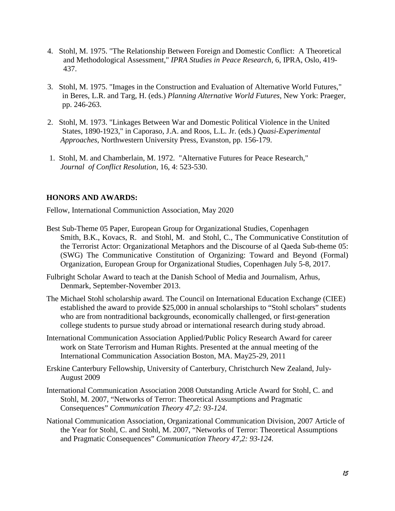- 4. Stohl, M. 1975. "The Relationship Between Foreign and Domestic Conflict: A Theoretical and Methodological Assessment," *IPRA Studies in Peace Research*, 6, IPRA, Oslo, 419- 437.
- 3. Stohl, M. 1975. "Images in the Construction and Evaluation of Alternative World Futures," in Beres, L.R. and Targ, H. (eds.) *Planning Alternative World Futures*, New York: Praeger, pp. 246-263.
- 2. Stohl, M. 1973. "Linkages Between War and Domestic Political Violence in the United States, 1890-1923," in Caporaso, J.A. and Roos, L.L. Jr. (eds.) *Quasi-Experimental Approaches*, Northwestern University Press, Evanston, pp. 156-179.
- 1. Stohl, M. and Chamberlain, M. 1972. "Alternative Futures for Peace Research," *Journal of Conflict Resolution*, 16, 4: 523-530.

## **HONORS AND AWARDS:**

Fellow, International Communiction Association, May 2020

- Best Sub-Theme 05 Paper, European Group for Organizational Studies, Copenhagen Smith, B.K., Kovacs, R. and Stohl, M. and Stohl, C., The Communicative Constitution of the Terrorist Actor: Organizational Metaphors and the Discourse of al Qaeda Sub-theme 05: (SWG) The Communicative Constitution of Organizing: Toward and Beyond (Formal) Organization, European Group for Organizational Studies, Copenhagen July 5-8, 2017.
- Fulbright Scholar Award to teach at the Danish School of Media and Journalism, Arhus, Denmark, September-November 2013.
- The Michael Stohl scholarship award. The Council on International Education Exchange (CIEE) established the award to provide \$25,000 in annual scholarships to "Stohl scholars" students who are from nontraditional backgrounds, economically challenged, or first-generation college students to pursue study abroad or international research during study abroad.
- International Communication Association Applied/Public Policy Research Award for career work on State Terrorism and Human Rights. Presented at the annual meeting of the International Communication Association Boston, MA. May25-29, 2011
- Erskine Canterbury Fellowship, University of Canterbury, Christchurch New Zealand, July-August 2009
- International Communication Association 2008 Outstanding Article Award for Stohl, C. and Stohl, M. 2007, "Networks of Terror: Theoretical Assumptions and Pragmatic Consequences" *Communication Theory 47,2: 93-124*.
- National Communication Association, Organizational Communication Division, 2007 Article of the Year for Stohl, C. and Stohl, M. 2007, "Networks of Terror: Theoretical Assumptions and Pragmatic Consequences" *Communication Theory 47,2: 93-124*.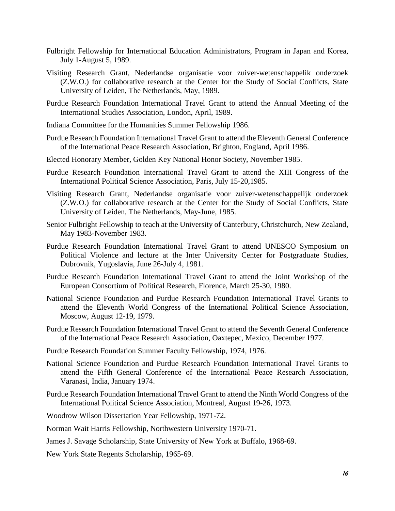- Fulbright Fellowship for International Education Administrators, Program in Japan and Korea, July 1-August 5, 1989.
- Visiting Research Grant, Nederlandse organisatie voor zuiver-wetenschappelik onderzoek (Z.W.O.) for collaborative research at the Center for the Study of Social Conflicts, State University of Leiden, The Netherlands, May, 1989.
- Purdue Research Foundation International Travel Grant to attend the Annual Meeting of the International Studies Association, London, April, 1989.
- Indiana Committee for the Humanities Summer Fellowship 1986.
- Purdue Research Foundation International Travel Grant to attend the Eleventh General Conference of the International Peace Research Association, Brighton, England, April 1986.
- Elected Honorary Member, Golden Key National Honor Society, November 1985.
- Purdue Research Foundation International Travel Grant to attend the XIII Congress of the International Political Science Association, Paris, July 15-20,1985.
- Visiting Research Grant, Nederlandse organisatie voor zuiver-wetenschappelijk onderzoek (Z.W.O.) for collaborative research at the Center for the Study of Social Conflicts, State University of Leiden, The Netherlands, May-June, 1985.
- Senior Fulbright Fellowship to teach at the University of Canterbury, Christchurch, New Zealand, May 1983-November 1983.
- Purdue Research Foundation International Travel Grant to attend UNESCO Symposium on Political Violence and lecture at the Inter University Center for Postgraduate Studies, Dubrovnik, Yugoslavia, June 26-July 4, 1981.
- Purdue Research Foundation International Travel Grant to attend the Joint Workshop of the European Consortium of Political Research, Florence, March 25-30, 1980.
- National Science Foundation and Purdue Research Foundation International Travel Grants to attend the Eleventh World Congress of the International Political Science Association, Moscow, August 12-19, 1979.
- Purdue Research Foundation International Travel Grant to attend the Seventh General Conference of the International Peace Research Association, Oaxtepec, Mexico, December 1977.
- Purdue Research Foundation Summer Faculty Fellowship, 1974, 1976.
- National Science Foundation and Purdue Research Foundation International Travel Grants to attend the Fifth General Conference of the International Peace Research Association, Varanasi, India, January 1974.
- Purdue Research Foundation International Travel Grant to attend the Ninth World Congress of the International Political Science Association, Montreal, August 19-26, 1973.
- Woodrow Wilson Dissertation Year Fellowship, 1971-72.
- Norman Wait Harris Fellowship, Northwestern University 1970-71.
- James J. Savage Scholarship, State University of New York at Buffalo, 1968-69.
- New York State Regents Scholarship, 1965-69.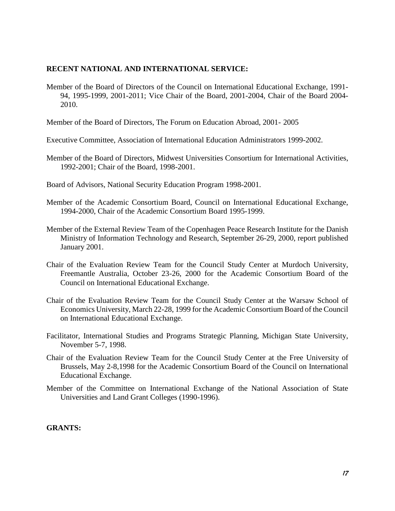## **RECENT NATIONAL AND INTERNATIONAL SERVICE:**

Member of the Board of Directors of the Council on International Educational Exchange, 1991- 94, 1995-1999, 2001-2011; Vice Chair of the Board, 2001-2004, Chair of the Board 2004- 2010.

Member of the Board of Directors, The Forum on Education Abroad, 2001- 2005

- Executive Committee, Association of International Education Administrators 1999-2002.
- Member of the Board of Directors, Midwest Universities Consortium for International Activities, 1992-2001; Chair of the Board, 1998-2001.
- Board of Advisors, National Security Education Program 1998-2001.
- Member of the Academic Consortium Board, Council on International Educational Exchange, 1994-2000, Chair of the Academic Consortium Board 1995-1999.
- Member of the External Review Team of the Copenhagen Peace Research Institute for the Danish Ministry of Information Technology and Research, September 26-29, 2000, report published January 2001.
- Chair of the Evaluation Review Team for the Council Study Center at Murdoch University, Freemantle Australia, October 23-26, 2000 for the Academic Consortium Board of the Council on International Educational Exchange.
- Chair of the Evaluation Review Team for the Council Study Center at the Warsaw School of Economics University, March 22-28, 1999 for the Academic Consortium Board of the Council on International Educational Exchange.
- Facilitator, International Studies and Programs Strategic Planning, Michigan State University, November 5-7, 1998.
- Chair of the Evaluation Review Team for the Council Study Center at the Free University of Brussels, May 2-8,1998 for the Academic Consortium Board of the Council on International Educational Exchange.
- Member of the Committee on International Exchange of the National Association of State Universities and Land Grant Colleges (1990-1996).

## **GRANTS:**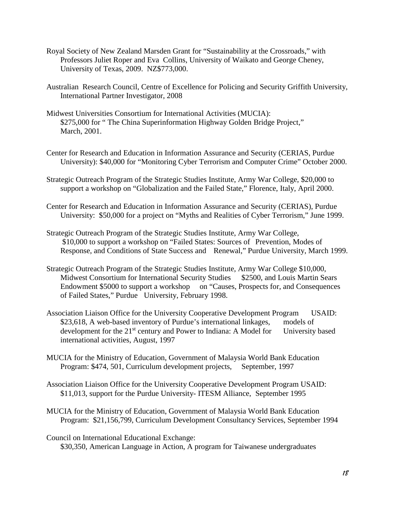- Royal Society of New Zealand Marsden Grant for "Sustainability at the Crossroads," with Professors Juliet Roper and Eva Collins, University of Waikato and George Cheney, University of Texas, 2009. NZ\$773,000.
- Australian Research Council, Centre of Excellence for Policing and Security Griffith University, International Partner Investigator, 2008
- Midwest Universities Consortium for International Activities (MUCIA): \$275,000 for "The China Superinformation Highway Golden Bridge Project," March, 2001.
- Center for Research and Education in Information Assurance and Security (CERIAS, Purdue University): \$40,000 for "Monitoring Cyber Terrorism and Computer Crime" October 2000.
- Strategic Outreach Program of the Strategic Studies Institute, Army War College, \$20,000 to support a workshop on "Globalization and the Failed State," Florence, Italy, April 2000.
- Center for Research and Education in Information Assurance and Security (CERIAS), Purdue University: \$50,000 for a project on "Myths and Realities of Cyber Terrorism," June 1999.
- Strategic Outreach Program of the Strategic Studies Institute, Army War College, \$10,000 to support a workshop on "Failed States: Sources of Prevention, Modes of Response, and Conditions of State Success and Renewal," Purdue University, March 1999.
- Strategic Outreach Program of the Strategic Studies Institute, Army War College \$10,000, Midwest Consortium for International Security Studies \$2500, and Louis Martin Sears Endowment \$5000 to support a workshop on "Causes, Prospects for, and Consequences of Failed States," Purdue University, February 1998.
- Association Liaison Office for the University Cooperative Development Program USAID: \$23,618, A web-based inventory of Purdue's international linkages, models of development for the 21<sup>st</sup> century and Power to Indiana: A Model for University based international activities, August, 1997
- MUCIA for the Ministry of Education, Government of Malaysia World Bank Education Program: \$474, 501, Curriculum development projects, September, 1997
- Association Liaison Office for the University Cooperative Development Program USAID: \$11,013, support for the Purdue University- ITESM Alliance, September 1995
- MUCIA for the Ministry of Education, Government of Malaysia World Bank Education Program: \$21,156,799, Curriculum Development Consultancy Services, September 1994
- Council on International Educational Exchange: \$30,350, American Language in Action, A program for Taiwanese undergraduates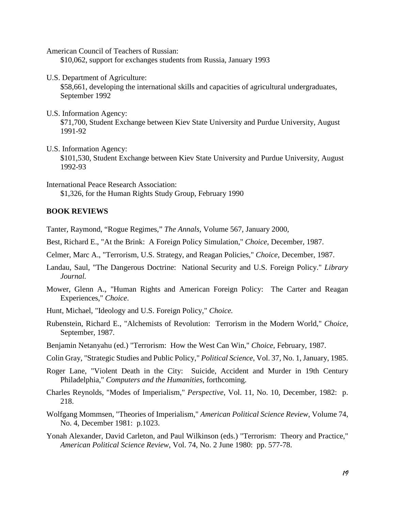American Council of Teachers of Russian:

\$10,062, support for exchanges students from Russia, January 1993

U.S. Department of Agriculture:

\$58,661, developing the international skills and capacities of agricultural undergraduates, September 1992

U.S. Information Agency:

\$71,700, Student Exchange between Kiev State University and Purdue University, August 1991-92

U.S. Information Agency:

\$101,530, Student Exchange between Kiev State University and Purdue University, August 1992-93

International Peace Research Association: \$1,326, for the Human Rights Study Group, February 1990

#### **BOOK REVIEWS**

Tanter, Raymond, "Rogue Regimes," *The Annals,* Volume 567, January 2000,

- Best, Richard E., "At the Brink: A Foreign Policy Simulation," *Choice*, December, 1987.
- Celmer, Marc A., "Terrorism, U.S. Strategy, and Reagan Policies," *Choice*, December, 1987.
- Landau, Saul, "The Dangerous Doctrine: National Security and U.S. Foreign Policy." *Library Journal.*
- Mower, Glenn A., "Human Rights and American Foreign Policy: The Carter and Reagan Experiences," *Choice*.

Hunt, Michael, "Ideology and U.S. Foreign Policy," *Choice.*

- Rubenstein, Richard E., "Alchemists of Revolution: Terrorism in the Modern World," *Choice*, September, 1987.
- Benjamin Netanyahu (ed.) "Terrorism: How the West Can Win," *Choice*, February, 1987.
- Colin Gray, "Strategic Studies and Public Policy," *Political Science*, Vol. 37, No. 1, January, 1985.
- Roger Lane, "Violent Death in the City: Suicide, Accident and Murder in 19th Century Philadelphia," *Computers and the Humanities*, forthcoming.
- Charles Reynolds, "Modes of Imperialism," *Perspective*, Vol. 11, No. 10, December, 1982: p. 218.
- Wolfgang Mommsen, "Theories of Imperialism," *American Political Science Review*, Volume 74, No. 4, December 1981: p.1023.
- Yonah Alexander, David Carleton, and Paul Wilkinson (eds.) "Terrorism: Theory and Practice," *American Political Science Review*, Vol. 74, No. 2 June 1980: pp. 577-78.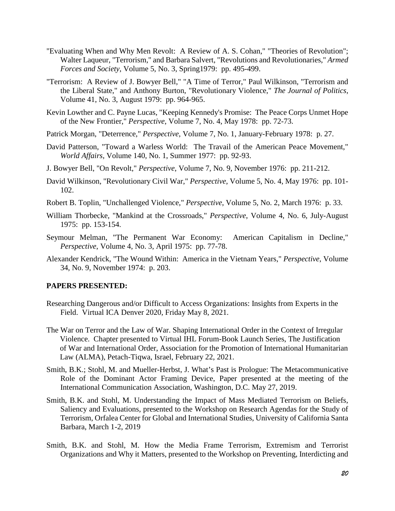- "Evaluating When and Why Men Revolt: A Review of A. S. Cohan," "Theories of Revolution"; Walter Laqueur, "Terrorism," and Barbara Salvert, "Revolutions and Revolutionaries," *Armed Forces and Society*, Volume 5, No. 3, Spring1979: pp. 495-499.
- "Terrorism: A Review of J. Bowyer Bell," "A Time of Terror," Paul Wilkinson, "Terrorism and the Liberal State," and Anthony Burton, "Revolutionary Violence," *The Journal of Politics*, Volume 41, No. 3, August 1979: pp. 964-965.
- Kevin Lowther and C. Payne Lucas, "Keeping Kennedy's Promise: The Peace Corps Unmet Hope of the New Frontier," *Perspective*, Volume 7, No. 4, May 1978: pp. 72-73.
- Patrick Morgan, "Deterrence," *Perspective*, Volume 7, No. 1, January-February 1978: p. 27.
- David Patterson, "Toward a Warless World: The Travail of the American Peace Movement," *World Affairs*, Volume 140, No. 1, Summer 1977: pp. 92-93.
- J. Bowyer Bell, "On Revolt," *Perspective*, Volume 7, No. 9, November 1976: pp. 211-212.
- David Wilkinson, "Revolutionary Civil War," *Perspective*, Volume 5, No. 4, May 1976: pp. 101- 102.
- Robert B. Toplin, "Unchallenged Violence," *Perspective*, Volume 5, No. 2, March 1976: p. 33.
- William Thorbecke, "Mankind at the Crossroads," *Perspective*, Volume 4, No. 6, July-August 1975: pp. 153-154.
- Seymour Melman, "The Permanent War Economy: American Capitalism in Decline," *Perspective*, Volume 4, No. 3, April 1975: pp. 77-78.
- Alexander Kendrick, "The Wound Within: America in the Vietnam Years," *Perspective*, Volume 34, No. 9, November 1974: p. 203.

## **PAPERS PRESENTED:**

- Researching Dangerous and/or Difficult to Access Organizations: Insights from Experts in the Field. Virtual ICA Denver 2020, Friday May 8, 2021.
- The War on Terror and the Law of War. Shaping International Order in the Context of Irregular Violence. Chapter presented to Virtual IHL Forum-Book Launch Series, The Justification of War and International Order, Association for the Promotion of International Humanitarian Law (ALMA), Petach-Tiqwa, Israel, February 22, 2021.
- Smith, B.K.; Stohl, M. and Mueller-Herbst, J. What's Past is Prologue: The Metacommunicative Role of the Dominant Actor Framing Device, Paper presented at the meeting of the International Communication Association, Washington, D.C. May 27, 2019.
- Smith, B.K. and Stohl, M. Understanding the Impact of Mass Mediated Terrorism on Beliefs, Saliency and Evaluations, presented to the Workshop on Research Agendas for the Study of Terrorism, Orfalea Center for Global and International Studies, University of California Santa Barbara, March 1-2, 2019
- Smith, B.K. and Stohl, M. How the Media Frame Terrorism, Extremism and Terrorist Organizations and Why it Matters, presented to the Workshop on Preventing, Interdicting and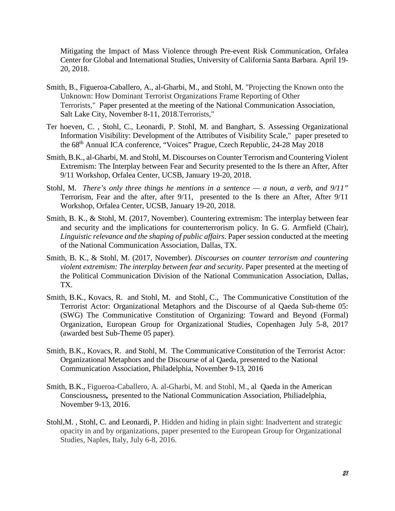Mitigating the Impact of Mass Violence through Pre-event Risk Communication, Orfalea Center for Global and International Studies, University of California Santa Barbara. April 19- 20, 2018.

- Smith, B., Figueroa-Caballero, A., al-Gharbi, M., and Stohl, M. "Projecting the Known onto the Unknown: How Dominant Terrorist Organizations Frame Reporting of Other Terrorists," Paper presented at the meeting of the National Communication Association, Salt Lake City, November 8-11, 2018.Terrorists,"
- Ter hoeven, C. , Stohl, C., Leonardi, P. Stohl, M. and Banghart, S. Assessing Organizational Information Visibility: Development of the Attributes of Visibility Scale," paper preseted to the 68th Annual ICA conference, "Voices" Prague, Czech Republic, 24-28 May 2018
- Smith, B.K., al-Gharbi, M. and Stohl, M. Discourses on Counter Terrorism and Countering Violent Extremism: The Interplay between Fear and Security presented to the Is there an After, After 9/11 Workshop, Orfalea Center, UCSB, January 19-20, 2018.
- Stohl, M. *There's only three things he mentions in a sentence — a noun, a verb, and 9/11"* Terrorism, Fear and the after, after 9/11, presented to the Is there an After, After 9/11 Workshop, Orfalea Center, UCSB, January 19-20, 2018.
- Smith, B. K., & Stohl, M. (2017, November). Countering extremism: The interplay between fear and security and the implications for counterterrorism policy. In G. G. Armfield (Chair), *Linguistic relevance and the shaping of public affairs*. Paper session conducted at the meeting of the National Communication Association, Dallas, TX.
- Smith, B. K., & Stohl, M. (2017, November). *Discourses on counter terrorism and countering violent extremism: The interplay between fear and security*. Paper presented at the meeting of the Political Communication Division of the National Communication Association, Dallas, TX.
- Smith, B.K., Kovacs, R. and Stohl, M. and Stohl, C., The Communicative Constitution of the Terrorist Actor: Organizational Metaphors and the Discourse of al Qaeda Sub-theme 05: (SWG) The Communicative Constitution of Organizing: Toward and Beyond (Formal) Organization, European Group for Organizational Studies, Copenhagen July 5-8, 2017 (awarded best Sub-Theme 05 paper).
- Smith, B.K., Kovacs, R. and Stohl, M. The Communicative Constitution of the Terrorist Actor: Organizational Metaphors and the Discourse of al Qaeda, presented to the National Communication Association, Philadelphia, November 9-13, 2016
- Smith, B.K., Figueroa-Caballero, A. al-Gharbi, M. and Stohl, M*.*, al Qaeda in the American Consciousness**,** presented to the National Communication Association, Philiadelphia, November 9-13, 2016.
- Stohl,M. , Stohl, C. and Leonardi, P. Hidden and hiding in plain sight: Inadvertent and strategic opacity in and by organizations, paper presented to the European Group for Organizational Studies, Naples, Italy, July 6-8, 2016.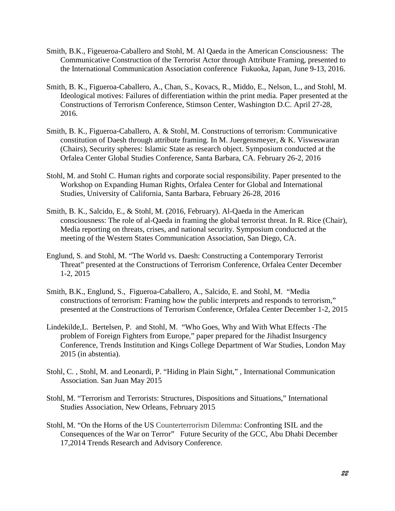- Smith, B.K., Figeueroa-Caballero and Stohl, M. Al Qaeda in the American Consciousness: The Communicative Construction of the Terrorist Actor through Attribute Framing, presented to the International Communication Association conference Fukuoka, Japan, June 9-13, 2016.
- Smith, B. K., Figueroa-Caballero, A., Chan, S., Kovacs, R., Middo, E., Nelson, L., and Stohl, M. Ideological motives: Failures of differentiation within the print media. Paper presented at the Constructions of Terrorism Conference, Stimson Center, Washington D.C. April 27-28, 2016.
- Smith, B. K., Figueroa-Caballero, A. & Stohl, M. Constructions of terrorism: Communicative constitution of Daesh through attribute framing. In M. Juergensmeyer, & K. Visweswaran (Chairs), Security spheres: Islamic State as research object. Symposium conducted at the Orfalea Center Global Studies Conference, Santa Barbara, CA. February 26-2, 2016
- Stohl, M. and Stohl C. Human rights and corporate social responsibility. Paper presented to the Workshop on Expanding Human Rights, Orfalea Center for Global and International Studies, University of California, Santa Barbara, February 26-28, 2016
- Smith, B. K., Salcido, E., & Stohl, M. (2016, February). Al-Qaeda in the American consciousness: The role of al-Qaeda in framing the global terrorist threat. In R. Rice (Chair), Media reporting on threats, crises, and national security. Symposium conducted at the meeting of the Western States Communication Association, San Diego, CA.
- Englund, S. and Stohl, M. "The World vs. Daesh: Constructing a Contemporary Terrorist Threat" presented at the Constructions of Terrorism Conference, Orfalea Center December 1-2, 2015
- Smith, B.K., Englund, S., Figueroa-Caballero, A., Salcido, E. and Stohl, M. "Media constructions of terrorism: Framing how the public interprets and responds to terrorism," presented at the Constructions of Terrorism Conference, Orfalea Center December 1-2, 2015
- Lindekilde,L. Bertelsen, P. and Stohl, M. "Who Goes, Why and With What Effects -The problem of Foreign Fighters from Europe," paper prepared for the Jihadist Insurgency Conference, Trends Institution and Kings College Department of War Studies, London May 2015 (in abstentia).
- Stohl, C. , Stohl, M. and Leonardi, P. "Hiding in Plain Sight," , International Communication Association. San Juan May 2015
- Stohl, M. "Terrorism and Terrorists: Structures, Dispositions and Situations," International Studies Association, New Orleans, February 2015
- Stohl, M. "On the Horns of the US Counterterrorism Dilemma: Confronting ISIL and the Consequences of the War on Terror" Future Security of the GCC, Abu Dhabi December 17,2014 Trends Research and Advisory Conference.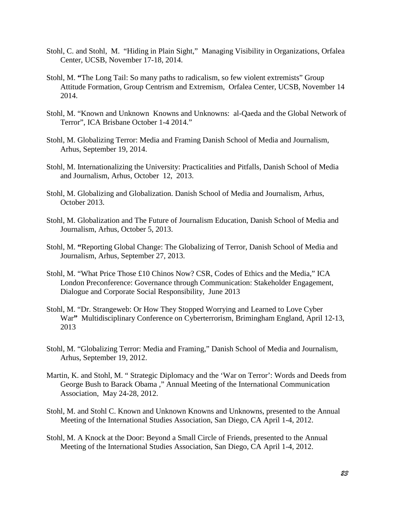- Stohl, C. and Stohl, M. "Hiding in Plain Sight," Managing Visibility in Organizations, Orfalea Center, UCSB, November 17-18, 2014.
- Stohl, M. **"**The Long Tail: So many paths to radicalism, so few violent extremists" Group Attitude Formation, Group Centrism and Extremism, Orfalea Center, UCSB, November 14 2014.
- Stohl, M. "Known and Unknown Knowns and Unknowns: al-Qaeda and the Global Network of Terror", ICA Brisbane October 1-4 2014."
- Stohl, M. Globalizing Terror: Media and Framing Danish School of Media and Journalism, Arhus, September 19, 2014.
- Stohl, M. Internationalizing the University: Practicalities and Pitfalls, Danish School of Media and Journalism, Arhus, October 12, 2013.
- Stohl, M. Globalizing and Globalization. Danish School of Media and Journalism, Arhus, October 2013.
- Stohl, M. Globalization and The Future of Journalism Education, Danish School of Media and Journalism, Arhus, October 5, 2013.
- Stohl, M. **"**Reporting Global Change: The Globalizing of Terror, Danish School of Media and Journalism, Arhus, September 27, 2013.
- Stohl, M. "What Price Those £10 Chinos Now? CSR, Codes of Ethics and the Media," ICA London Preconference: Governance through Communication: Stakeholder Engagement, Dialogue and Corporate Social Responsibility, June 2013
- Stohl, M. "Dr. Strangeweb: Or How They Stopped Worrying and Learned to Love Cyber War**"** Multidisciplinary Conference on Cyberterrorism, Brimingham England, April 12-13, 2013
- Stohl, M. "Globalizing Terror: Media and Framing," Danish School of Media and Journalism, Arhus, September 19, 2012.
- Martin, K. and Stohl, M. " Strategic Diplomacy and the 'War on Terror': Words and Deeds from George Bush to Barack Obama ," Annual Meeting of the International Communication Association, May 24-28, 2012.
- Stohl, M. and Stohl C. Known and Unknown Knowns and Unknowns, presented to the Annual Meeting of the International Studies Association, San Diego, CA April 1-4, 2012.
- Stohl, M. A Knock at the Door: Beyond a Small Circle of Friends, presented to the Annual Meeting of the International Studies Association, San Diego, CA April 1-4, 2012.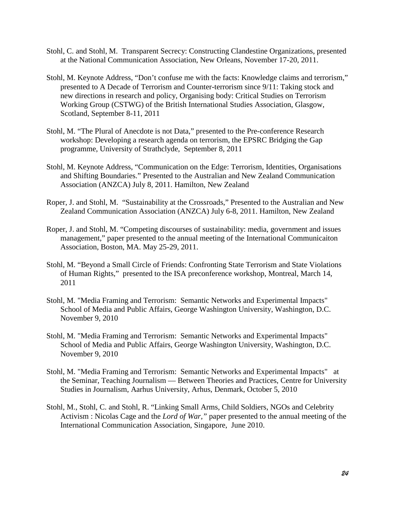- Stohl, C. and Stohl, M. Transparent Secrecy: Constructing Clandestine Organizations, presented at the National Communication Association, New Orleans, November 17-20, 2011.
- Stohl, M. Keynote Address, "Don't confuse me with the facts: Knowledge claims and terrorism," presented to A Decade of Terrorism and Counter-terrorism since 9/11: Taking stock and new directions in research and policy, Organising body: Critical Studies on Terrorism Working Group (CSTWG) of the British International Studies Association, Glasgow, Scotland, September 8-11, 2011
- Stohl, M. "The Plural of Anecdote is not Data," presented to the Pre-conference Research workshop: Developing a research agenda on terrorism, the EPSRC Bridging the Gap programme, University of Strathclyde, September 8, 2011
- Stohl, M. Keynote Address, "Communication on the Edge: Terrorism, Identities, Organisations and Shifting Boundaries." Presented to the Australian and New Zealand Communication Association (ANZCA) July 8, 2011. Hamilton, New Zealand
- Roper, J. and Stohl, M. "Sustainability at the Crossroads," Presented to the Australian and New Zealand Communication Association (ANZCA) July 6-8, 2011. Hamilton, New Zealand
- Roper, J. and Stohl, M. "Competing discourses of sustainability: media, government and issues management," paper presented to the annual meeting of the International Communicaiton Association, Boston, MA. May 25-29, 2011.
- Stohl, M. "Beyond a Small Circle of Friends: Confronting State Terrorism and State Violations of Human Rights," presented to the ISA preconference workshop, Montreal, March 14, 2011
- Stohl, M. "Media Framing and Terrorism: Semantic Networks and Experimental Impacts" School of Media and Public Affairs, George Washington University, Washington, D.C. November 9, 2010
- Stohl, M. "Media Framing and Terrorism: Semantic Networks and Experimental Impacts" School of Media and Public Affairs, George Washington University, Washington, D.C. November 9, 2010
- Stohl, M. "Media Framing and Terrorism: Semantic Networks and Experimental Impacts" at the Seminar, Teaching Journalism — Between Theories and Practices, Centre for University Studies in Journalism, Aarhus University, Arhus, Denmark, October 5, 2010
- Stohl, M., Stohl, C. and Stohl, R. "Linking Small Arms, Child Soldiers, NGOs and Celebrity Activism : Nicolas Cage and the *Lord of War,"* paper presented to the annual meeting of the International Communication Association, Singapore, June 2010.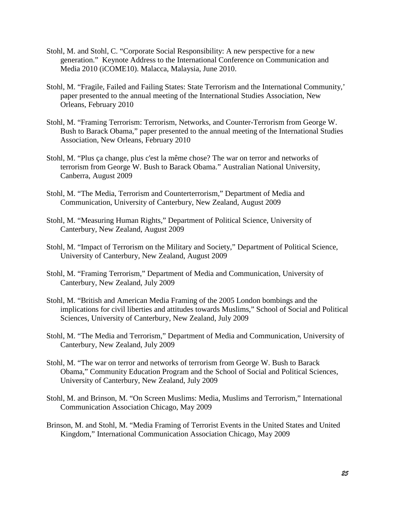- Stohl, M. and Stohl, C. "Corporate Social Responsibility: A new perspective for a new generation." Keynote Address to the International Conference on Communication and Media 2010 (iCOME10). Malacca, Malaysia, June 2010.
- Stohl, M. "Fragile, Failed and Failing States: State Terrorism and the International Community,' paper presented to the annual meeting of the International Studies Association, New Orleans, February 2010
- Stohl, M. "Framing Terrorism: Terrorism, Networks, and Counter-Terrorism from George W. Bush to Barack Obama," paper presented to the annual meeting of the International Studies Association, New Orleans, February 2010
- Stohl, M. "Plus ça change, plus c'est la même chose? The war on terror and networks of terrorism from George W. Bush to Barack Obama." Australian National University, Canberra, August 2009
- Stohl, M. "The Media, Terrorism and Counterterrorism," Department of Media and Communication, University of Canterbury, New Zealand, August 2009
- Stohl, M. "Measuring Human Rights," Department of Political Science, University of Canterbury, New Zealand, August 2009
- Stohl, M. "Impact of Terrorism on the Military and Society," Department of Political Science, University of Canterbury, New Zealand, August 2009
- Stohl, M. "Framing Terrorism," Department of Media and Communication, University of Canterbury, New Zealand, July 2009
- Stohl, M. "British and American Media Framing of the 2005 London bombings and the implications for civil liberties and attitudes towards Muslims," School of Social and Political Sciences, University of Canterbury, New Zealand, July 2009
- Stohl, M. "The Media and Terrorism," Department of Media and Communication, University of Canterbury, New Zealand, July 2009
- Stohl, M. "The war on terror and networks of terrorism from George W. Bush to Barack Obama," Community Education Program and the School of Social and Political Sciences, University of Canterbury, New Zealand, July 2009
- Stohl, M. and Brinson, M. "On Screen Muslims: Media, Muslims and Terrorism," International Communication Association Chicago, May 2009
- Brinson, M. and Stohl, M. "Media Framing of Terrorist Events in the United States and United Kingdom," International Communication Association Chicago, May 2009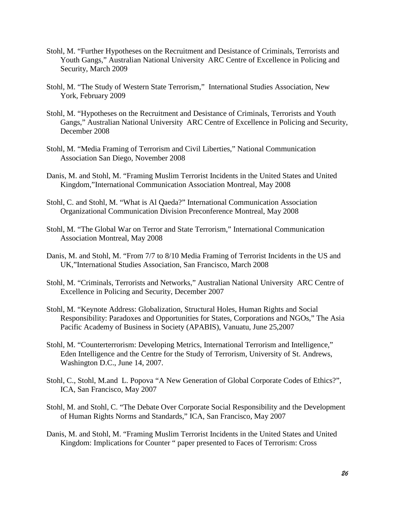- Stohl, M. "Further Hypotheses on the Recruitment and Desistance of Criminals, Terrorists and Youth Gangs," Australian National University ARC Centre of Excellence in Policing and Security, March 2009
- Stohl, M. "The Study of Western State Terrorism," International Studies Association, New York, February 2009
- Stohl, M. "Hypotheses on the Recruitment and Desistance of Criminals, Terrorists and Youth Gangs," Australian National University ARC Centre of Excellence in Policing and Security, December 2008
- Stohl, M. "Media Framing of Terrorism and Civil Liberties," National Communication Association San Diego, November 2008
- Danis, M. and Stohl, M. "Framing Muslim Terrorist Incidents in the United States and United Kingdom,"International Communication Association Montreal, May 2008
- Stohl, C. and Stohl, M. "What is Al Qaeda?" International Communication Association Organizational Communication Division Preconference Montreal, May 2008
- Stohl, M. "The Global War on Terror and State Terrorism," International Communication Association Montreal, May 2008
- Danis, M. and Stohl, M. "From 7/7 to 8/10 Media Framing of Terrorist Incidents in the US and UK,"International Studies Association, San Francisco, March 2008
- Stohl, M. "Criminals, Terrorists and Networks," Australian National University ARC Centre of Excellence in Policing and Security, December 2007
- Stohl, M. "Keynote Address: Globalization, Structural Holes, Human Rights and Social Responsibility: Paradoxes and Opportunities for States, Corporations and NGOs," The Asia Pacific Academy of Business in Society (APABIS), Vanuatu, June 25,2007
- Stohl, M. "Counterterrorism: Developing Metrics, International Terrorism and Intelligence," Eden Intelligence and the Centre for the Study of Terrorism, University of St. Andrews, Washington D.C., June 14, 2007.
- Stohl, C., Stohl, M.and L. Popova ["A New Generation of Global Corporate Codes of Ethics?"](http://64.112.226.77/one/ica/ica07/index.php?click_key=1&cmd=Multi+Search+Search+Load+Publication&publication_id=171739&PHPSESSID=b68c1b9f9cd9a6fc501ec806bc3261c4), ICA, San Francisco, May 2007
- Stohl, M. and Stohl, C. ["The Debate Over Corporate Social Responsibility and the Development](http://64.112.226.77/one/ica/ica07/index.php?click_key=1&cmd=Multi+Search+Search+Load+Publication&publication_id=171075&PHPSESSID=b68c1b9f9cd9a6fc501ec806bc3261c4)  [of Human Rights Norms and Standards,](http://64.112.226.77/one/ica/ica07/index.php?click_key=1&cmd=Multi+Search+Search+Load+Publication&publication_id=171075&PHPSESSID=b68c1b9f9cd9a6fc501ec806bc3261c4)" ICA, San Francisco, May 2007
- Danis, M. and Stohl, M. "Framing Muslim Terrorist Incidents in the United States and United Kingdom: Implications for Counter " paper presented to Faces of Terrorism: Cross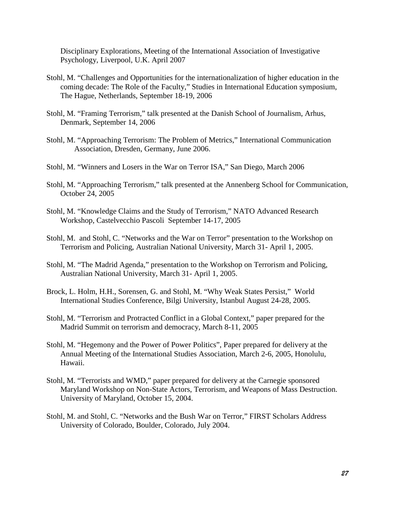Disciplinary Explorations, Meeting of the International Association of Investigative Psychology, Liverpool, U.K. April 2007

- Stohl, M. "Challenges and Opportunities for the internationalization of higher education in the coming decade: The Role of the Faculty," Studies in International Education symposium, The Hague, Netherlands, September 18-19, 2006
- Stohl, M. "Framing Terrorism," talk presented at the Danish School of Journalism, Arhus, Denmark, September 14, 2006
- Stohl, M. "Approaching Terrorism: The Problem of Metrics," International Communication Association, Dresden, Germany, June 2006.
- Stohl, M. "Winners and Losers in the War on Terror ISA," San Diego, March 2006
- Stohl, M. "Approaching Terrorism," talk presented at the Annenberg School for Communication, October 24, 2005
- Stohl, M. "Knowledge Claims and the Study of Terrorism," NATO Advanced Research Workshop, Castelvecchio Pascoli September 14-17, 2005
- Stohl, M. and Stohl, C. "Networks and the War on Terror" presentation to the Workshop on Terrorism and Policing, Australian National University, March 31- April 1, 2005.
- Stohl, M. "The Madrid Agenda," presentation to the Workshop on Terrorism and Policing, Australian National University, March 31- April 1, 2005.
- Brock, L. Holm, H.H., Sorensen, G. and Stohl, M. "Why Weak States Persist," World International Studies Conference, Bilgi University, Istanbul August 24-28, 2005.
- Stohl, M. "Terrorism and Protracted Conflict in a Global Context," paper prepared for the Madrid Summit on terrorism and democracy, March 8-11, 2005
- Stohl, M. "Hegemony and the Power of Power Politics", Paper prepared for delivery at the Annual Meeting of the International Studies Association, March 2-6, 2005, Honolulu, Hawaii.
- Stohl, M. "Terrorists and WMD," paper prepared for delivery at the Carnegie sponsored Maryland Workshop on Non-State Actors, Terrorism, and Weapons of Mass Destruction. University of Maryland, October 15, 2004.
- Stohl, M. and Stohl, C. "Networks and the Bush War on Terror," FIRST Scholars Address University of Colorado, Boulder, Colorado, July 2004.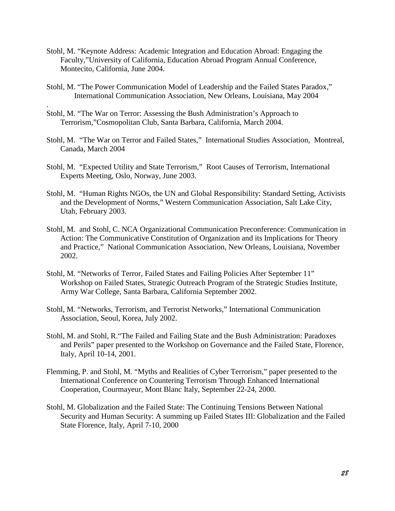- Stohl, M. "Keynote Address: Academic Integration and Education Abroad: Engaging the Faculty,"University of California, Education Abroad Program Annual Conference, Montecito, California, June 2004.
- Stohl, M. "The Power Communication Model of Leadership and the Failed States Paradox," International Communication Association, New Orleans, Louisiana, May 2004
- Stohl, M. "The War on Terror: Assessing the Bush Administration's Approach to Terrorism,"Cosmopolitan Club, Santa Barbara, California, March 2004.

.

- Stohl, M. "The War on Terror and Failed States," International Studies Association, Montreal, Canada, March 2004
- Stohl, M. "Expected Utility and State Terrorism," Root Causes of Terrorism, International Experts Meeting, Oslo, Norway, June 2003.
- Stohl, M. "Human Rights NGOs, the UN and Global Responsibility: Standard Setting, Activists and the Development of Norms," Western Communication Association, Salt Lake City, Utah, February 2003.
- Stohl, M. and Stohl, C. NCA Organizational Communication Preconference: Communication in Action: The Communicative Constitution of Organization and its Implications for Theory and Practice," National Communication Association, New Orleans, Louisiana, November 2002.
- Stohl, M. "Networks of Terror, Failed States and Failing Policies After September 11" Workshop on Failed States, Strategic Outreach Program of the Strategic Studies Institute, Army War College, Santa Barbara, California September 2002.
- Stohl, M. "Networks, Terrorism, and Terrorist Networks," International Communication Association, Seoul, Korea, July 2002.
- Stohl, M. and Stohl, R."The Failed and Failing State and the Bush Administration: Paradoxes and Perils" paper presented to the Workshop on Governance and the Failed State, Florence, Italy, April 10-14, 2001.
- Flemming, P. and Stohl, M. "Myths and Realities of Cyber Terrorism," paper presented to the International Conference on Countering Terrorism Through Enhanced International Cooperation, Courmayeur, Mont Blanc Italy, September 22-24, 2000.
- Stohl, M. Globalization and the Failed State: The Continuing Tensions Between National Security and Human Security: A summing up Failed States III: Globalization and the Failed State Florence, Italy, April 7-10, 2000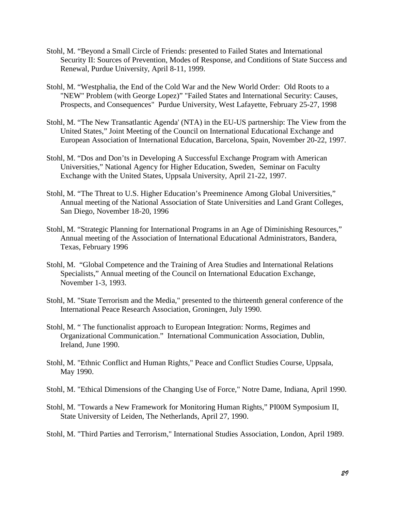- Stohl, M. "Beyond a Small Circle of Friends: presented to Failed States and International Security II: Sources of Prevention, Modes of Response, and Conditions of State Success and Renewal, Purdue University, April 8-11, 1999.
- Stohl, M. "Westphalia, the End of the Cold War and the New World Order: Old Roots to a "NEW" Problem (with George Lopez)" "Failed States and International Security: Causes, Prospects, and Consequences" Purdue University, West Lafayette, February 25-27, 1998
- Stohl, M. "The New Transatlantic Agenda' (NTA) in the EU-US partnership: The View from the United States," Joint Meeting of the Council on International Educational Exchange and European Association of International Education, Barcelona, Spain, November 20-22, 1997.
- Stohl, M. "Dos and Don'ts in Developing A Successful Exchange Program with American Universities," National Agency for Higher Education, Sweden, Seminar on Faculty Exchange with the United States, Uppsala University, April 21-22, 1997.
- Stohl, M. "The Threat to U.S. Higher Education's Preeminence Among Global Universities," Annual meeting of the National Association of State Universities and Land Grant Colleges, San Diego, November 18-20, 1996
- Stohl, M. "Strategic Planning for International Programs in an Age of Diminishing Resources," Annual meeting of the Association of International Educational Administrators, Bandera, Texas, February 1996
- Stohl, M. "Global Competence and the Training of Area Studies and International Relations Specialists," Annual meeting of the Council on International Education Exchange, November 1-3, 1993.
- Stohl, M. "State Terrorism and the Media," presented to the thirteenth general conference of the International Peace Research Association, Groningen, July 1990.
- Stohl, M. " The functionalist approach to European Integration: Norms, Regimes and Organizational Communication." International Communication Association, Dublin, Ireland, June 1990.
- Stohl, M. "Ethnic Conflict and Human Rights," Peace and Conflict Studies Course, Uppsala, May 1990.
- Stohl, M. "Ethical Dimensions of the Changing Use of Force," Notre Dame, Indiana, April 1990.
- Stohl, M. "Towards a New Framework for Monitoring Human Rights," PI00M Symposium II, State University of Leiden, The Netherlands, April 27, 1990.
- Stohl, M. "Third Parties and Terrorism," International Studies Association, London, April 1989.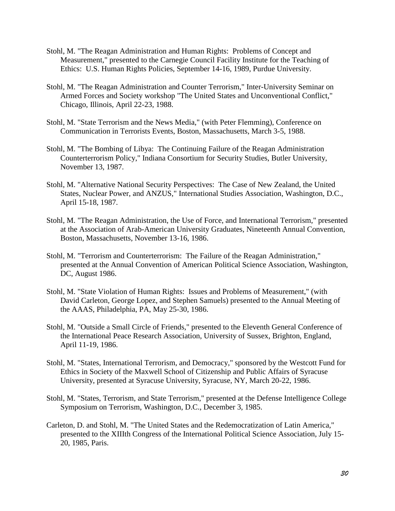- Stohl, M. "The Reagan Administration and Human Rights: Problems of Concept and Measurement," presented to the Carnegie Council Facility Institute for the Teaching of Ethics: U.S. Human Rights Policies, September 14-16, 1989, Purdue University.
- Stohl, M. "The Reagan Administration and Counter Terrorism," Inter-University Seminar on Armed Forces and Society workshop "The United States and Unconventional Conflict," Chicago, Illinois, April 22-23, 1988.
- Stohl, M. "State Terrorism and the News Media," (with Peter Flemming), Conference on Communication in Terrorists Events, Boston, Massachusetts, March 3-5, 1988.
- Stohl, M. "The Bombing of Libya: The Continuing Failure of the Reagan Administration Counterterrorism Policy," Indiana Consortium for Security Studies, Butler University, November 13, 1987.
- Stohl, M. "Alternative National Security Perspectives: The Case of New Zealand, the United States, Nuclear Power, and ANZUS," International Studies Association, Washington, D.C., April 15-18, 1987.
- Stohl, M. "The Reagan Administration, the Use of Force, and International Terrorism," presented at the Association of Arab-American University Graduates, Nineteenth Annual Convention, Boston, Massachusetts, November 13-16, 1986.
- Stohl, M. "Terrorism and Counterterrorism: The Failure of the Reagan Administration," presented at the Annual Convention of American Political Science Association, Washington, DC, August 1986.
- Stohl, M. "State Violation of Human Rights: Issues and Problems of Measurement," (with David Carleton, George Lopez, and Stephen Samuels) presented to the Annual Meeting of the AAAS, Philadelphia, PA, May 25-30, 1986.
- Stohl, M. "Outside a Small Circle of Friends," presented to the Eleventh General Conference of the International Peace Research Association, University of Sussex, Brighton, England, April 11-19, 1986.
- Stohl, M. "States, International Terrorism, and Democracy," sponsored by the Westcott Fund for Ethics in Society of the Maxwell School of Citizenship and Public Affairs of Syracuse University, presented at Syracuse University, Syracuse, NY, March 20-22, 1986.
- Stohl, M. "States, Terrorism, and State Terrorism," presented at the Defense Intelligence College Symposium on Terrorism, Washington, D.C., December 3, 1985.
- Carleton, D. and Stohl, M. "The United States and the Redemocratization of Latin America," presented to the XIIIth Congress of the International Political Science Association, July 15- 20, 1985, Paris.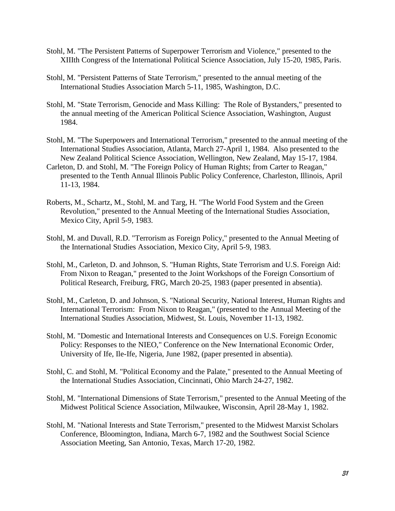- Stohl, M. "The Persistent Patterns of Superpower Terrorism and Violence," presented to the XIIIth Congress of the International Political Science Association, July 15-20, 1985, Paris.
- Stohl, M. "Persistent Patterns of State Terrorism," presented to the annual meeting of the International Studies Association March 5-11, 1985, Washington, D.C.
- Stohl, M. "State Terrorism, Genocide and Mass Killing: The Role of Bystanders," presented to the annual meeting of the American Political Science Association, Washington, August 1984.
- Stohl, M. "The Superpowers and International Terrorism," presented to the annual meeting of the International Studies Association, Atlanta, March 27-April 1, 1984. Also presented to the New Zealand Political Science Association, Wellington, New Zealand, May 15-17, 1984.
- Carleton, D. and Stohl, M. "The Foreign Policy of Human Rights; from Carter to Reagan," presented to the Tenth Annual Illinois Public Policy Conference, Charleston, Illinois, April 11-13, 1984.
- Roberts, M., Schartz, M., Stohl, M. and Targ, H. "The World Food System and the Green Revolution," presented to the Annual Meeting of the International Studies Association, Mexico City, April 5-9, 1983.
- Stohl, M. and Duvall, R.D. "Terrorism as Foreign Policy," presented to the Annual Meeting of the International Studies Association, Mexico City, April 5-9, 1983.
- Stohl, M., Carleton, D. and Johnson, S. "Human Rights, State Terrorism and U.S. Foreign Aid: From Nixon to Reagan," presented to the Joint Workshops of the Foreign Consortium of Political Research, Freiburg, FRG, March 20-25, 1983 (paper presented in absentia).
- Stohl, M., Carleton, D. and Johnson, S. "National Security, National Interest, Human Rights and International Terrorism: From Nixon to Reagan," (presented to the Annual Meeting of the International Studies Association, Midwest, St. Louis, November 11-13, 1982.
- Stohl, M. "Domestic and International Interests and Consequences on U.S. Foreign Economic Policy: Responses to the NIEO," Conference on the New International Economic Order, University of Ife, Ile-Ife, Nigeria, June 1982, (paper presented in absentia).
- Stohl, C. and Stohl, M. "Political Economy and the Palate," presented to the Annual Meeting of the International Studies Association, Cincinnati, Ohio March 24-27, 1982.
- Stohl, M. "International Dimensions of State Terrorism," presented to the Annual Meeting of the Midwest Political Science Association, Milwaukee, Wisconsin, April 28-May 1, 1982.
- Stohl, M. "National Interests and State Terrorism," presented to the Midwest Marxist Scholars Conference, Bloomington, Indiana, March 6-7, 1982 and the Southwest Social Science Association Meeting, San Antonio, Texas, March 17-20, 1982.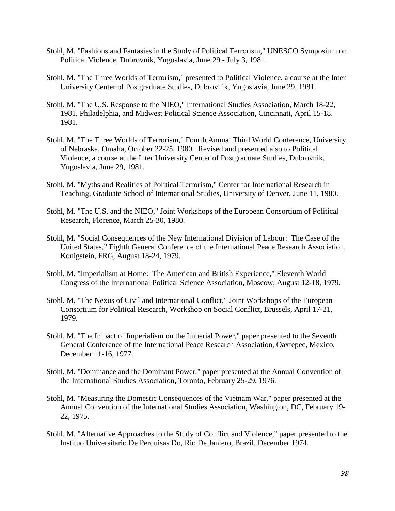- Stohl, M. "Fashions and Fantasies in the Study of Political Terrorism," UNESCO Symposium on Political Violence, Dubrovnik, Yugoslavia, June 29 - July 3, 1981.
- Stohl, M. "The Three Worlds of Terrorism," presented to Political Violence, a course at the Inter University Center of Postgraduate Studies, Dubrovnik, Yugoslavia, June 29, 1981.
- Stohl, M. "The U.S. Response to the NIEO," International Studies Association, March 18-22, 1981, Philadelphia, and Midwest Political Science Association, Cincinnati, April 15-18, 1981.
- Stohl, M. "The Three Worlds of Terrorism," Fourth Annual Third World Conference, University of Nebraska, Omaha, October 22-25, 1980. Revised and presented also to Political Violence, a course at the Inter University Center of Postgraduate Studies, Dubrovnik, Yugoslavia, June 29, 1981.
- Stohl, M. "Myths and Realities of Political Terrorism," Center for International Research in Teaching, Graduate School of International Studies, University of Denver, June 11, 1980.
- Stohl, M. "The U.S. and the NIEO," Joint Workshops of the European Consortium of Political Research, Florence, March 25-30, 1980.
- Stohl, M. "Social Consequences of the New International Division of Labour: The Case of the United States," Eighth General Conference of the International Peace Research Association, Konigstein, FRG, August 18-24, 1979.
- Stohl, M. "Imperialism at Home: The American and British Experience," Eleventh World Congress of the International Political Science Association, Moscow, August 12-18, 1979.
- Stohl, M. "The Nexus of Civil and International Conflict," Joint Workshops of the European Consortium for Political Research, Workshop on Social Conflict, Brussels, April 17-21, 1979.
- Stohl, M. "The Impact of Imperialism on the Imperial Power," paper presented to the Seventh General Conference of the International Peace Research Association, Oaxtepec, Mexico, December 11-16, 1977.
- Stohl, M. "Dominance and the Dominant Power," paper presented at the Annual Convention of the International Studies Association, Toronto, February 25-29, 1976.
- Stohl, M. "Measuring the Domestic Consequences of the Vietnam War," paper presented at the Annual Convention of the International Studies Association, Washington, DC, February 19- 22, 1975.
- Stohl, M. "Alternative Approaches to the Study of Conflict and Violence," paper presented to the Instituo Universitario De Perquisas Do, Rio De Janiero, Brazil, December 1974.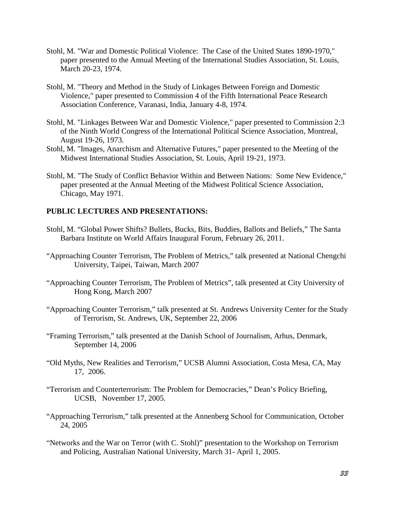- Stohl, M. "War and Domestic Political Violence: The Case of the United States 1890-1970," paper presented to the Annual Meeting of the International Studies Association, St. Louis, March 20-23, 1974.
- Stohl, M. "Theory and Method in the Study of Linkages Between Foreign and Domestic Violence," paper presented to Commission 4 of the Fifth International Peace Research Association Conference, Varanasi, India, January 4-8, 1974.
- Stohl, M. "Linkages Between War and Domestic Violence," paper presented to Commission 2:3 of the Ninth World Congress of the International Political Science Association, Montreal, August 19-26, 1973.
- Stohl, M. "Images, Anarchism and Alternative Futures," paper presented to the Meeting of the Midwest International Studies Association, St. Louis, April 19-21, 1973.
- Stohl, M. "The Study of Conflict Behavior Within and Between Nations: Some New Evidence," paper presented at the Annual Meeting of the Midwest Political Science Association, Chicago, May 1971.

### **PUBLIC LECTURES AND PRESENTATIONS:**

- Stohl, M. ["Global Power Shifts? Bullets, Bucks, Bits, Buddies, Ballots and Beliefs,](http://vimeo.com/21610288)" The Santa Barbara Institute on World Affairs Inaugural Forum, February 26, 2011.
- "Approaching Counter Terrorism, The Problem of Metrics," talk presented at National Chengchi University, Taipei, Taiwan, March 2007
- "Approaching Counter Terrorism, The Problem of Metrics", talk presented at City University of Hong Kong, March 2007
- "Approaching Counter Terrorism," talk presented at St. Andrews University Center for the Study of Terrorism, St. Andrews, UK, September 22, 2006
- "Framing Terrorism," talk presented at the Danish School of Journalism, Arhus, Denmark, September 14, 2006
- "Old Myths, New Realities and Terrorism," UCSB Alumni Association, Costa Mesa, CA, May 17, 2006.
- "Terrorism and Counterterrorism: The Problem for Democracies," Dean's Policy Briefing, UCSB, November 17, 2005.
- "Approaching Terrorism," talk presented at the Annenberg School for Communication, October 24, 2005
- "Networks and the War on Terror (with C. Stohl)" presentation to the Workshop on Terrorism and Policing, Australian National University, March 31- April 1, 2005.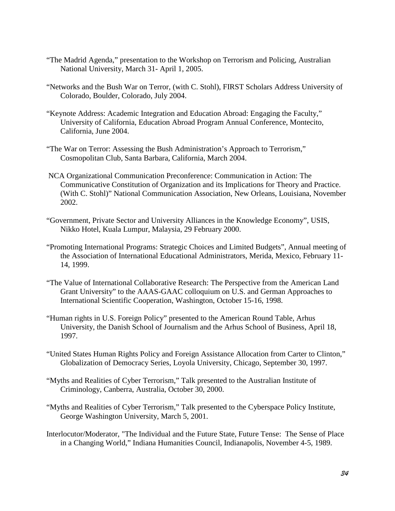- "The Madrid Agenda," presentation to the Workshop on Terrorism and Policing, Australian National University, March 31- April 1, 2005.
- "Networks and the Bush War on Terror, (with C. Stohl), FIRST Scholars Address University of Colorado, Boulder, Colorado, July 2004.
- "Keynote Address: Academic Integration and Education Abroad: Engaging the Faculty," University of California, Education Abroad Program Annual Conference, Montecito, California, June 2004.
- "The War on Terror: Assessing the Bush Administration's Approach to Terrorism," Cosmopolitan Club, Santa Barbara, California, March 2004.
- NCA Organizational Communication Preconference: Communication in Action: The Communicative Constitution of Organization and its Implications for Theory and Practice. (With C. Stohl)" National Communication Association, New Orleans, Louisiana, November 2002.
- "Government, Private Sector and University Alliances in the Knowledge Economy", USIS, Nikko Hotel, Kuala Lumpur, Malaysia, 29 February 2000.
- "Promoting International Programs: Strategic Choices and Limited Budgets", Annual meeting of the Association of International Educational Administrators, Merida, Mexico, February 11- 14, 1999.
- "The Value of International Collaborative Research: The Perspective from the American Land Grant University" to the AAAS-GAAC colloquium on U.S. and German Approaches to International Scientific Cooperation, Washington, October 15-16, 1998.
- "Human rights in U.S. Foreign Policy" presented to the American Round Table, Arhus University, the Danish School of Journalism and the Arhus School of Business, April 18, 1997.
- "United States Human Rights Policy and Foreign Assistance Allocation from Carter to Clinton," Globalization of Democracy Series, Loyola University, Chicago, September 30, 1997.
- "Myths and Realities of Cyber Terrorism," Talk presented to the Australian Institute of Criminology, Canberra, Australia, October 30, 2000.
- "Myths and Realities of Cyber Terrorism," Talk presented to the Cyberspace Policy Institute, George Washington University, March 5, 2001.
- Interlocutor/Moderator, "The Individual and the Future State, Future Tense: The Sense of Place in a Changing World," Indiana Humanities Council, Indianapolis, November 4-5, 1989.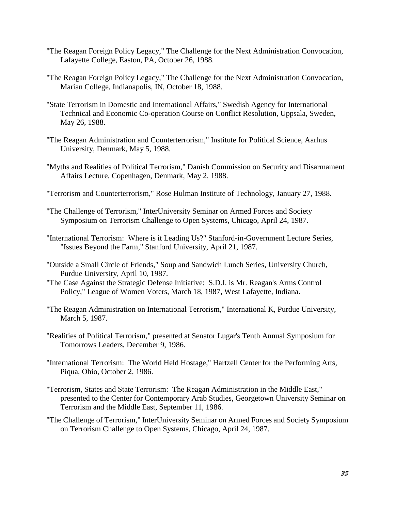- "The Reagan Foreign Policy Legacy," The Challenge for the Next Administration Convocation, Lafayette College, Easton, PA, October 26, 1988.
- "The Reagan Foreign Policy Legacy," The Challenge for the Next Administration Convocation, Marian College, Indianapolis, IN, October 18, 1988.
- "State Terrorism in Domestic and International Affairs," Swedish Agency for International Technical and Economic Co-operation Course on Conflict Resolution, Uppsala, Sweden, May 26, 1988.
- "The Reagan Administration and Counterterrorism," Institute for Political Science, Aarhus University, Denmark, May 5, 1988.
- "Myths and Realities of Political Terrorism," Danish Commission on Security and Disarmament Affairs Lecture, Copenhagen, Denmark, May 2, 1988.
- "Terrorism and Counterterrorism," Rose Hulman Institute of Technology, January 27, 1988.
- "The Challenge of Terrorism," InterUniversity Seminar on Armed Forces and Society Symposium on Terrorism Challenge to Open Systems, Chicago, April 24, 1987.
- "International Terrorism: Where is it Leading Us?" Stanford-in-Government Lecture Series, "Issues Beyond the Farm," Stanford University, April 21, 1987.
- "Outside a Small Circle of Friends," Soup and Sandwich Lunch Series, University Church, Purdue University, April 10, 1987.
- "The Case Against the Strategic Defense Initiative: S.D.I. is Mr. Reagan's Arms Control Policy," League of Women Voters, March 18, 1987, West Lafayette, Indiana.
- "The Reagan Administration on International Terrorism," International K, Purdue University, March 5, 1987.
- "Realities of Political Terrorism," presented at Senator Lugar's Tenth Annual Symposium for Tomorrows Leaders, December 9, 1986.
- "International Terrorism: The World Held Hostage," Hartzell Center for the Performing Arts, Piqua, Ohio, October 2, 1986.
- "Terrorism, States and State Terrorism: The Reagan Administration in the Middle East," presented to the Center for Contemporary Arab Studies, Georgetown University Seminar on Terrorism and the Middle East, September 11, 1986.
- "The Challenge of Terrorism," InterUniversity Seminar on Armed Forces and Society Symposium on Terrorism Challenge to Open Systems, Chicago, April 24, 1987.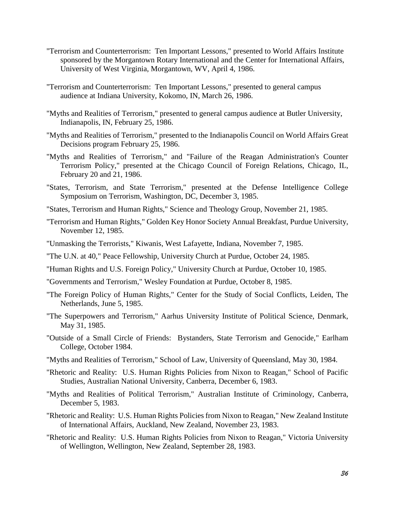- "Terrorism and Counterterrorism: Ten Important Lessons," presented to World Affairs Institute sponsored by the Morgantown Rotary International and the Center for International Affairs, University of West Virginia, Morgantown, WV, April 4, 1986.
- "Terrorism and Counterterrorism: Ten Important Lessons," presented to general campus audience at Indiana University, Kokomo, IN, March 26, 1986.
- "Myths and Realities of Terrorism," presented to general campus audience at Butler University, Indianapolis, IN, February 25, 1986.
- "Myths and Realities of Terrorism," presented to the Indianapolis Council on World Affairs Great Decisions program February 25, 1986.
- "Myths and Realities of Terrorism," and "Failure of the Reagan Administration's Counter Terrorism Policy," presented at the Chicago Council of Foreign Relations, Chicago, IL, February 20 and 21, 1986.
- "States, Terrorism, and State Terrorism," presented at the Defense Intelligence College Symposium on Terrorism, Washington, DC, December 3, 1985.
- "States, Terrorism and Human Rights," Science and Theology Group, November 21, 1985.
- "Terrorism and Human Rights," Golden Key Honor Society Annual Breakfast, Purdue University, November 12, 1985.
- "Unmasking the Terrorists," Kiwanis, West Lafayette, Indiana, November 7, 1985.
- "The U.N. at 40," Peace Fellowship, University Church at Purdue, October 24, 1985.
- "Human Rights and U.S. Foreign Policy," University Church at Purdue, October 10, 1985.
- "Governments and Terrorism," Wesley Foundation at Purdue, October 8, 1985.
- "The Foreign Policy of Human Rights," Center for the Study of Social Conflicts, Leiden, The Netherlands, June 5, 1985.
- "The Superpowers and Terrorism," Aarhus University Institute of Political Science, Denmark, May 31, 1985.
- "Outside of a Small Circle of Friends: Bystanders, State Terrorism and Genocide," Earlham College, October 1984.
- "Myths and Realities of Terrorism," School of Law, University of Queensland, May 30, 1984.
- "Rhetoric and Reality: U.S. Human Rights Policies from Nixon to Reagan," School of Pacific Studies, Australian National University, Canberra, December 6, 1983.
- "Myths and Realities of Political Terrorism," Australian Institute of Criminology, Canberra, December 5, 1983.
- "Rhetoric and Reality: U.S. Human Rights Policies from Nixon to Reagan," New Zealand Institute of International Affairs, Auckland, New Zealand, November 23, 1983.
- "Rhetoric and Reality: U.S. Human Rights Policies from Nixon to Reagan," Victoria University of Wellington, Wellington, New Zealand, September 28, 1983.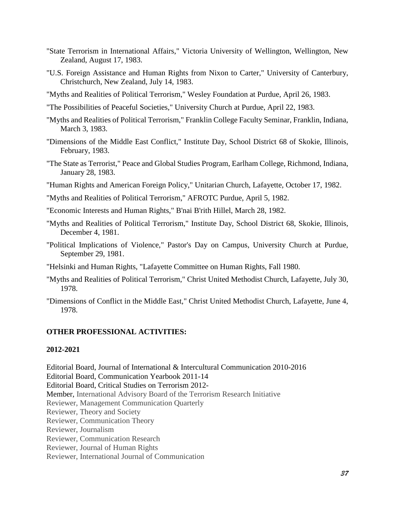- "State Terrorism in International Affairs," Victoria University of Wellington, Wellington, New Zealand, August 17, 1983.
- "U.S. Foreign Assistance and Human Rights from Nixon to Carter," University of Canterbury, Christchurch, New Zealand, July 14, 1983.
- "Myths and Realities of Political Terrorism," Wesley Foundation at Purdue, April 26, 1983.
- "The Possibilities of Peaceful Societies," University Church at Purdue, April 22, 1983.
- "Myths and Realities of Political Terrorism," Franklin College Faculty Seminar, Franklin, Indiana, March 3, 1983.
- "Dimensions of the Middle East Conflict," Institute Day, School District 68 of Skokie, Illinois, February, 1983.
- "The State as Terrorist," Peace and Global Studies Program, Earlham College, Richmond, Indiana, January 28, 1983.
- "Human Rights and American Foreign Policy," Unitarian Church, Lafayette, October 17, 1982.
- "Myths and Realities of Political Terrorism," AFROTC Purdue, April 5, 1982.
- "Economic Interests and Human Rights," B'nai B'rith Hillel, March 28, 1982.
- "Myths and Realities of Political Terrorism," Institute Day, School District 68, Skokie, Illinois, December 4, 1981.
- "Political Implications of Violence," Pastor's Day on Campus, University Church at Purdue, September 29, 1981.
- "Helsinki and Human Rights, "Lafayette Committee on Human Rights, Fall 1980.
- "Myths and Realities of Political Terrorism," Christ United Methodist Church, Lafayette, July 30, 1978.
- "Dimensions of Conflict in the Middle East," Christ United Methodist Church, Lafayette, June 4, 1978.

## **OTHER PROFESSIONAL ACTIVITIES:**

#### **2012-2021**

Editorial Board, Journal of International & Intercultural Communication 2010-2016 Editorial Board, Communication Yearbook 2011-14 Editorial Board, Critical Studies on Terrorism 2012- Member, International Advisory Board of the Terrorism Research Initiative Reviewer, Management Communication Quarterly Reviewer, Theory and Society Reviewer, Communication Theory Reviewer, Journalism Reviewer, Communication Research Reviewer, Journal of Human Rights Reviewer, International Journal of Communication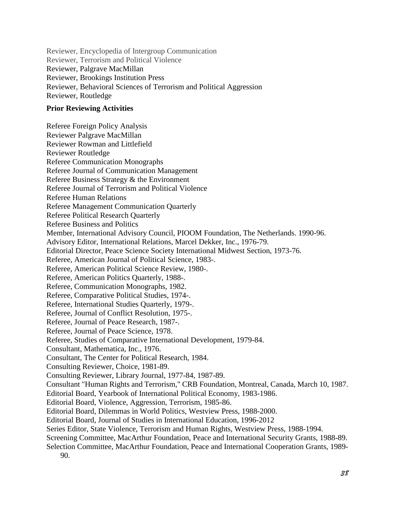Reviewer, Encyclopedia of Intergroup Communication Reviewer, Terrorism and Political Violence Reviewer, Palgrave MacMillan Reviewer, Brookings Institution Press Reviewer, Behavioral Sciences of Terrorism and Political Aggression Reviewer, Routledge

### **Prior Reviewing Activities**

Referee Foreign Policy Analysis Reviewer Palgrave MacMillan Reviewer Rowman and Littlefield Reviewer Routledge Referee Communication Monographs Referee Journal of Communication Management Referee Business Strategy & the Environment Referee Journal of Terrorism and Political Violence Referee Human Relations Referee Management Communication Quarterly Referee Political Research Quarterly Referee Business and Politics Member, International Advisory Council, PIOOM Foundation, The Netherlands. 1990-96. Advisory Editor, International Relations, Marcel Dekker, Inc., 1976-79. Editorial Director, Peace Science Society International Midwest Section, 1973-76. Referee, American Journal of Political Science, 1983-. Referee, American Political Science Review, 1980-. Referee, American Politics Quarterly, 1988-. Referee, Communication Monographs, 1982. Referee, Comparative Political Studies, 1974-. Referee, International Studies Quarterly, 1979-. Referee, Journal of Conflict Resolution, 1975-. Referee, Journal of Peace Research, 1987-. Referee, Journal of Peace Science, 1978. Referee, Studies of Comparative International Development, 1979-84. Consultant, Mathematica, Inc., 1976. Consultant, The Center for Political Research, 1984. Consulting Reviewer, Choice, 1981-89. Consulting Reviewer, Library Journal, 1977-84, 1987-89. Consultant "Human Rights and Terrorism," CRB Foundation, Montreal, Canada, March 10, 1987. Editorial Board, Yearbook of International Political Economy, 1983-1986. Editorial Board, Violence, Aggression, Terrorism, 1985-86. Editorial Board, Dilemmas in World Politics, Westview Press, 1988-2000. Editorial Board, Journal of Studies in International Education, 1996-2012 Series Editor, State Violence, Terrorism and Human Rights, Westview Press, 1988-1994. Screening Committee, MacArthur Foundation, Peace and International Security Grants, 1988-89.

Selection Committee, MacArthur Foundation, Peace and International Cooperation Grants, 1989- 90.